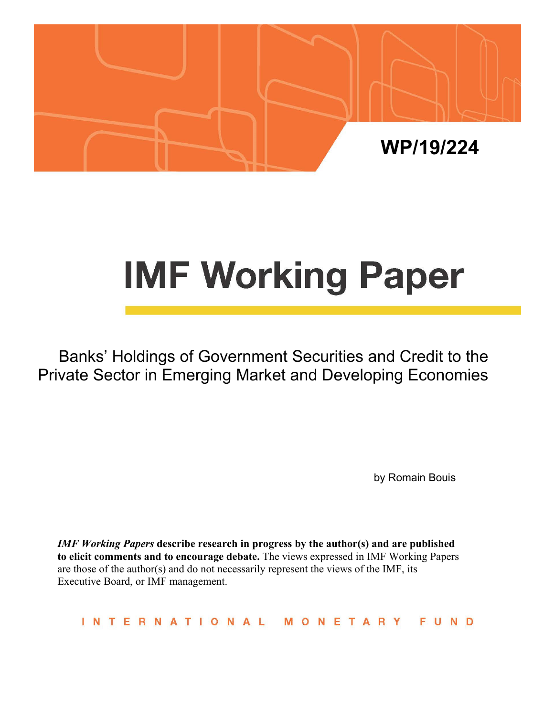

# **IMF Working Paper**

Banks' Holdings of Government Securities and Credit to the Private Sector in Emerging Market and Developing Economies

by Romain Bouis

*IMF Working Papers* **describe research in progress by the author(s) and are published to elicit comments and to encourage debate.** The views expressed in IMF Working Papers are those of the author(s) and do not necessarily represent the views of the IMF, its Executive Board, or IMF management.

INTERNATIONAL FUND MONETARY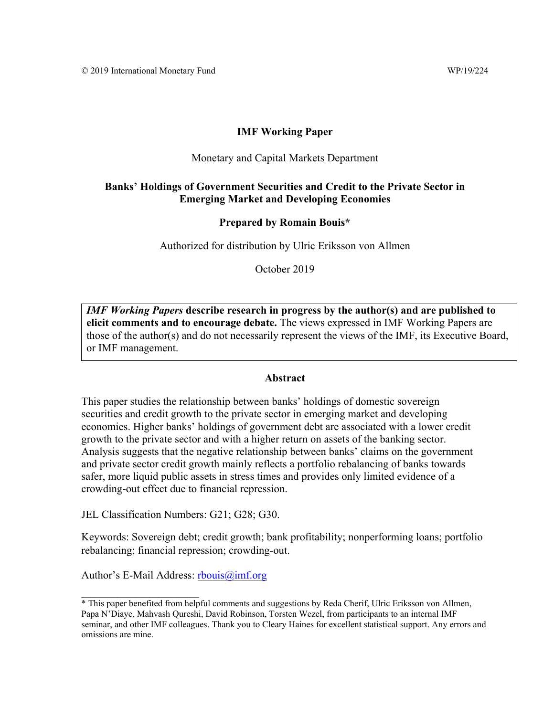#### **IMF Working Paper**

#### Monetary and Capital Markets Department

#### **Banks' Holdings of Government Securities and Credit to the Private Sector in Emerging Market and Developing Economies**

#### **Prepared by Romain Bouis\***

Authorized for distribution by Ulric Eriksson von Allmen

October 2019

*IMF Working Papers* **describe research in progress by the author(s) and are published to elicit comments and to encourage debate.** The views expressed in IMF Working Papers are those of the author(s) and do not necessarily represent the views of the IMF, its Executive Board, or IMF management.

#### **Abstract**

This paper studies the relationship between banks' holdings of domestic sovereign securities and credit growth to the private sector in emerging market and developing economies. Higher banks' holdings of government debt are associated with a lower credit growth to the private sector and with a higher return on assets of the banking sector. Analysis suggests that the negative relationship between banks' claims on the government and private sector credit growth mainly reflects a portfolio rebalancing of banks towards safer, more liquid public assets in stress times and provides only limited evidence of a crowding-out effect due to financial repression.

JEL Classification Numbers: G21; G28; G30.

Keywords: Sovereign debt; credit growth; bank profitability; nonperforming loans; portfolio rebalancing; financial repression; crowding-out.

Author's E-Mail Address: rbouis@imf.org

 $\frac{1}{2}$  ,  $\frac{1}{2}$  ,  $\frac{1}{2}$  ,  $\frac{1}{2}$  ,  $\frac{1}{2}$  ,  $\frac{1}{2}$  ,  $\frac{1}{2}$  ,  $\frac{1}{2}$  ,  $\frac{1}{2}$  ,  $\frac{1}{2}$  ,  $\frac{1}{2}$ 

<sup>\*</sup> This paper benefited from helpful comments and suggestions by Reda Cherif, Ulric Eriksson von Allmen, Papa N'Diaye, Mahvash Qureshi, David Robinson, Torsten Wezel, from participants to an internal IMF seminar, and other IMF colleagues. Thank you to Cleary Haines for excellent statistical support. Any errors and omissions are mine.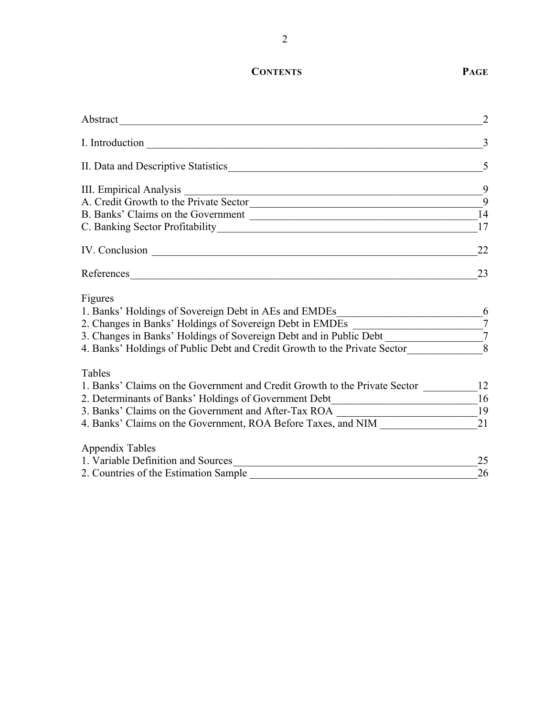## **CONTENTS PAGE**

|                                                                                                                                                                                                                               | 3                 |
|-------------------------------------------------------------------------------------------------------------------------------------------------------------------------------------------------------------------------------|-------------------|
| II. Data and Descriptive Statistics Manual Assembly of the Statistics Manual Assembly of the Statistics Manual Assembly of the Statistics Manual Assembly of the Statistics Manual Assembly of the Statistics Manual Assembly | 5                 |
| III. Empirical Analysis<br><u> 1989 - Johann Stoff, deutscher Stoff, der Stoff, der Stoff, der Stoff, der Stoff, der Stoff, der Stoff, der S</u>                                                                              | 9                 |
| A. Credit Growth to the Private Sector                                                                                                                                                                                        | -9                |
| B. Banks' Claims on the Government                                                                                                                                                                                            | 14                |
|                                                                                                                                                                                                                               | 17                |
|                                                                                                                                                                                                                               | 22                |
|                                                                                                                                                                                                                               | 23                |
| Figures                                                                                                                                                                                                                       |                   |
| 1. Banks' Holdings of Sovereign Debt in AEs and EMDEs                                                                                                                                                                         | 6                 |
| 2. Changes in Banks' Holdings of Sovereign Debt in EMDEs                                                                                                                                                                      | $\overline{7}$    |
| 3. Changes in Banks' Holdings of Sovereign Debt and in Public Debt _____________                                                                                                                                              | $\mathcal{I}_{7}$ |
| 4. Banks' Holdings of Public Debt and Credit Growth to the Private Sector                                                                                                                                                     | $\bar{8}$         |
| Tables                                                                                                                                                                                                                        |                   |
| 1. Banks' Claims on the Government and Credit Growth to the Private Sector ______                                                                                                                                             | 12                |
| 2. Determinants of Banks' Holdings of Government Debt___________________________                                                                                                                                              | $-$ <sup>16</sup> |
| 3. Banks' Claims on the Government and After-Tax ROA _____________________________19                                                                                                                                          |                   |
| 4. Banks' Claims on the Government, ROA Before Taxes, and NIM                                                                                                                                                                 | 21                |
| <b>Appendix Tables</b>                                                                                                                                                                                                        |                   |
| 1. Variable Definition and Sources                                                                                                                                                                                            | 25                |
| 2. Countries of the Estimation Sample                                                                                                                                                                                         | 26                |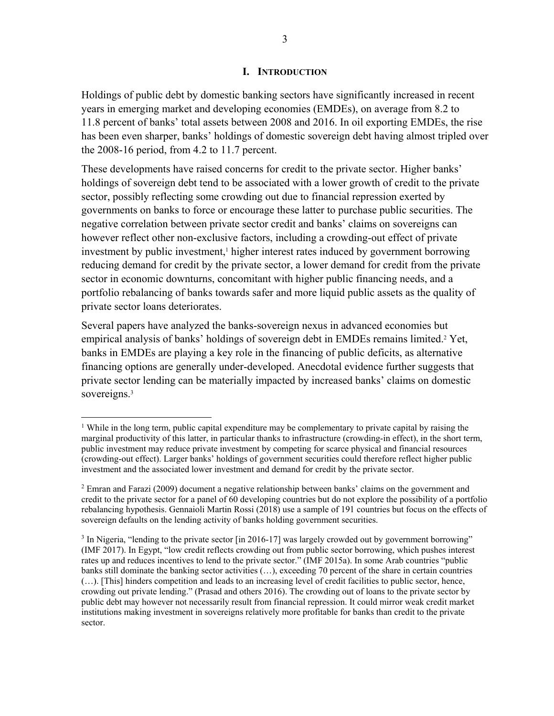#### **I. INTRODUCTION**

Holdings of public debt by domestic banking sectors have significantly increased in recent years in emerging market and developing economies (EMDEs), on average from 8.2 to 11.8 percent of banks' total assets between 2008 and 2016. In oil exporting EMDEs, the rise has been even sharper, banks' holdings of domestic sovereign debt having almost tripled over the 2008-16 period, from 4.2 to 11.7 percent.

These developments have raised concerns for credit to the private sector. Higher banks' holdings of sovereign debt tend to be associated with a lower growth of credit to the private sector, possibly reflecting some crowding out due to financial repression exerted by governments on banks to force or encourage these latter to purchase public securities. The negative correlation between private sector credit and banks' claims on sovereigns can however reflect other non-exclusive factors, including a crowding-out effect of private investment by public investment,<sup>1</sup> higher interest rates induced by government borrowing reducing demand for credit by the private sector, a lower demand for credit from the private sector in economic downturns, concomitant with higher public financing needs, and a portfolio rebalancing of banks towards safer and more liquid public assets as the quality of private sector loans deteriorates.

Several papers have analyzed the banks-sovereign nexus in advanced economies but empirical analysis of banks' holdings of sovereign debt in EMDEs remains limited.<sup>2</sup> Yet, banks in EMDEs are playing a key role in the financing of public deficits, as alternative financing options are generally under-developed. Anecdotal evidence further suggests that private sector lending can be materially impacted by increased banks' claims on domestic sovereigns.<sup>3</sup>

<sup>&</sup>lt;sup>1</sup> While in the long term, public capital expenditure may be complementary to private capital by raising the marginal productivity of this latter, in particular thanks to infrastructure (crowding-in effect), in the short term, public investment may reduce private investment by competing for scarce physical and financial resources (crowding-out effect). Larger banks' holdings of government securities could therefore reflect higher public investment and the associated lower investment and demand for credit by the private sector.

<sup>&</sup>lt;sup>2</sup> Emran and Farazi (2009) document a negative relationship between banks' claims on the government and credit to the private sector for a panel of 60 developing countries but do not explore the possibility of a portfolio rebalancing hypothesis. Gennaioli Martin Rossi (2018) use a sample of 191 countries but focus on the effects of sovereign defaults on the lending activity of banks holding government securities.

 $3$  In Nigeria, "lending to the private sector [in 2016-17] was largely crowded out by government borrowing" (IMF 2017). In Egypt, "low credit reflects crowding out from public sector borrowing, which pushes interest rates up and reduces incentives to lend to the private sector." (IMF 2015a). In some Arab countries "public banks still dominate the banking sector activities (…), exceeding 70 percent of the share in certain countries (…). [This] hinders competition and leads to an increasing level of credit facilities to public sector, hence, crowding out private lending." (Prasad and others 2016). The crowding out of loans to the private sector by public debt may however not necessarily result from financial repression. It could mirror weak credit market institutions making investment in sovereigns relatively more profitable for banks than credit to the private sector.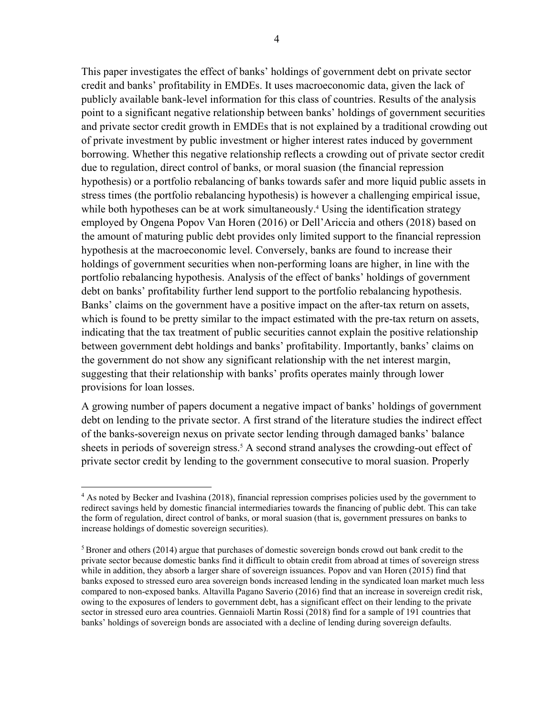This paper investigates the effect of banks' holdings of government debt on private sector credit and banks' profitability in EMDEs. It uses macroeconomic data, given the lack of publicly available bank-level information for this class of countries. Results of the analysis point to a significant negative relationship between banks' holdings of government securities and private sector credit growth in EMDEs that is not explained by a traditional crowding out of private investment by public investment or higher interest rates induced by government borrowing. Whether this negative relationship reflects a crowding out of private sector credit due to regulation, direct control of banks, or moral suasion (the financial repression hypothesis) or a portfolio rebalancing of banks towards safer and more liquid public assets in stress times (the portfolio rebalancing hypothesis) is however a challenging empirical issue, while both hypotheses can be at work simultaneously.<sup>4</sup> Using the identification strategy employed by Ongena Popov Van Horen (2016) or Dell'Ariccia and others (2018) based on the amount of maturing public debt provides only limited support to the financial repression hypothesis at the macroeconomic level. Conversely, banks are found to increase their holdings of government securities when non-performing loans are higher, in line with the portfolio rebalancing hypothesis. Analysis of the effect of banks' holdings of government debt on banks' profitability further lend support to the portfolio rebalancing hypothesis. Banks' claims on the government have a positive impact on the after-tax return on assets, which is found to be pretty similar to the impact estimated with the pre-tax return on assets, indicating that the tax treatment of public securities cannot explain the positive relationship between government debt holdings and banks' profitability. Importantly, banks' claims on the government do not show any significant relationship with the net interest margin, suggesting that their relationship with banks' profits operates mainly through lower provisions for loan losses.

A growing number of papers document a negative impact of banks' holdings of government debt on lending to the private sector. A first strand of the literature studies the indirect effect of the banks-sovereign nexus on private sector lending through damaged banks' balance sheets in periods of sovereign stress.<sup>5</sup> A second strand analyses the crowding-out effect of private sector credit by lending to the government consecutive to moral suasion. Properly

<sup>&</sup>lt;sup>4</sup> As noted by Becker and Ivashina (2018), financial repression comprises policies used by the government to redirect savings held by domestic financial intermediaries towards the financing of public debt. This can take the form of regulation, direct control of banks, or moral suasion (that is, government pressures on banks to increase holdings of domestic sovereign securities).

<sup>5</sup> Broner and others (2014) argue that purchases of domestic sovereign bonds crowd out bank credit to the private sector because domestic banks find it difficult to obtain credit from abroad at times of sovereign stress while in addition, they absorb a larger share of sovereign issuances. Popov and van Horen (2015) find that banks exposed to stressed euro area sovereign bonds increased lending in the syndicated loan market much less compared to non-exposed banks. Altavilla Pagano Saverio (2016) find that an increase in sovereign credit risk, owing to the exposures of lenders to government debt, has a significant effect on their lending to the private sector in stressed euro area countries. Gennaioli Martin Rossi (2018) find for a sample of 191 countries that banks' holdings of sovereign bonds are associated with a decline of lending during sovereign defaults.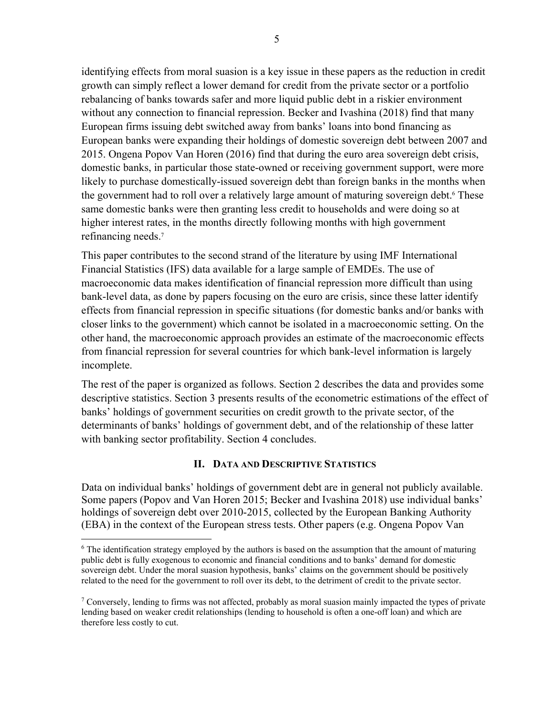identifying effects from moral suasion is a key issue in these papers as the reduction in credit growth can simply reflect a lower demand for credit from the private sector or a portfolio rebalancing of banks towards safer and more liquid public debt in a riskier environment without any connection to financial repression. Becker and Ivashina (2018) find that many European firms issuing debt switched away from banks' loans into bond financing as European banks were expanding their holdings of domestic sovereign debt between 2007 and 2015. Ongena Popov Van Horen (2016) find that during the euro area sovereign debt crisis, domestic banks, in particular those state-owned or receiving government support, were more likely to purchase domestically-issued sovereign debt than foreign banks in the months when the government had to roll over a relatively large amount of maturing sovereign debt.<sup>6</sup> These same domestic banks were then granting less credit to households and were doing so at higher interest rates, in the months directly following months with high government refinancing needs.<sup>7</sup>

This paper contributes to the second strand of the literature by using IMF International Financial Statistics (IFS) data available for a large sample of EMDEs. The use of macroeconomic data makes identification of financial repression more difficult than using bank-level data, as done by papers focusing on the euro are crisis, since these latter identify effects from financial repression in specific situations (for domestic banks and/or banks with closer links to the government) which cannot be isolated in a macroeconomic setting. On the other hand, the macroeconomic approach provides an estimate of the macroeconomic effects from financial repression for several countries for which bank-level information is largely incomplete.

The rest of the paper is organized as follows. Section 2 describes the data and provides some descriptive statistics. Section 3 presents results of the econometric estimations of the effect of banks' holdings of government securities on credit growth to the private sector, of the determinants of banks' holdings of government debt, and of the relationship of these latter with banking sector profitability. Section 4 concludes.

#### **II. DATA AND DESCRIPTIVE STATISTICS**

Data on individual banks' holdings of government debt are in general not publicly available. Some papers (Popov and Van Horen 2015; Becker and Ivashina 2018) use individual banks' holdings of sovereign debt over 2010-2015, collected by the European Banking Authority (EBA) in the context of the European stress tests. Other papers (e.g. Ongena Popov Van

<sup>&</sup>lt;sup>6</sup> The identification strategy employed by the authors is based on the assumption that the amount of maturing public debt is fully exogenous to economic and financial conditions and to banks' demand for domestic sovereign debt. Under the moral suasion hypothesis, banks' claims on the government should be positively related to the need for the government to roll over its debt, to the detriment of credit to the private sector.

<sup>&</sup>lt;sup>7</sup> Conversely, lending to firms was not affected, probably as moral suasion mainly impacted the types of private lending based on weaker credit relationships (lending to household is often a one-off loan) and which are therefore less costly to cut.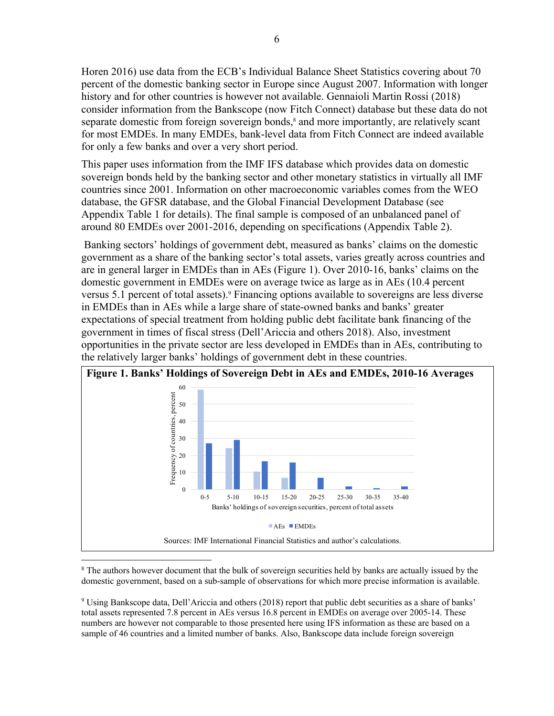Horen 2016) use data from the ECB's Individual Balance Sheet Statistics covering about 70 percent of the domestic banking sector in Europe since August 2007. Information with longer history and for other countries is however not available. Gennaioli Martin Rossi (2018) consider information from the Bankscope (now Fitch Connect) database but these data do not separate domestic from foreign sovereign bonds,<sup>8</sup> and more importantly, are relatively scant for most EMDEs. In many EMDEs, bank-level data from Fitch Connect are indeed available for only a few banks and over a very short period.

This paper uses information from the IMF IFS database which provides data on domestic sovereign bonds held by the banking sector and other monetary statistics in virtually all IMF countries since 2001. Information on other macroeconomic variables comes from the WEO database, the GFSR database, and the Global Financial Development Database (see Appendix Table 1 for details). The final sample is composed of an unbalanced panel of around 80 EMDEs over 2001-2016, depending on specifications (Appendix Table 2).

 Banking sectors' holdings of government debt, measured as banks' claims on the domestic government as a share of the banking sector's total assets, varies greatly across countries and are in general larger in EMDEs than in AEs (Figure 1). Over 2010-16, banks' claims on the domestic government in EMDEs were on average twice as large as in AEs (10.4 percent versus 5.1 percent of total assets).<sup>9</sup> Financing options available to sovereigns are less diverse in EMDEs than in AEs while a large share of state-owned banks and banks' greater expectations of special treatment from holding public debt facilitate bank financing of the government in times of fiscal stress (Dell'Ariccia and others 2018). Also, investment opportunities in the private sector are less developed in EMDEs than in AEs, contributing to the relatively larger banks' holdings of government debt in these countries.



1 <sup>8</sup> The authors however document that the bulk of sovereign securities held by banks are actually issued by the domestic government, based on a sub-sample of observations for which more precise information is available.

9 Using Bankscope data, Dell'Ariccia and others (2018) report that public debt securities as a share of banks' total assets represented 7.8 percent in AEs versus 16.8 percent in EMDEs on average over 2005-14. These numbers are however not comparable to those presented here using IFS information as these are based on a sample of 46 countries and a limited number of banks. Also, Bankscope data include foreign sovereign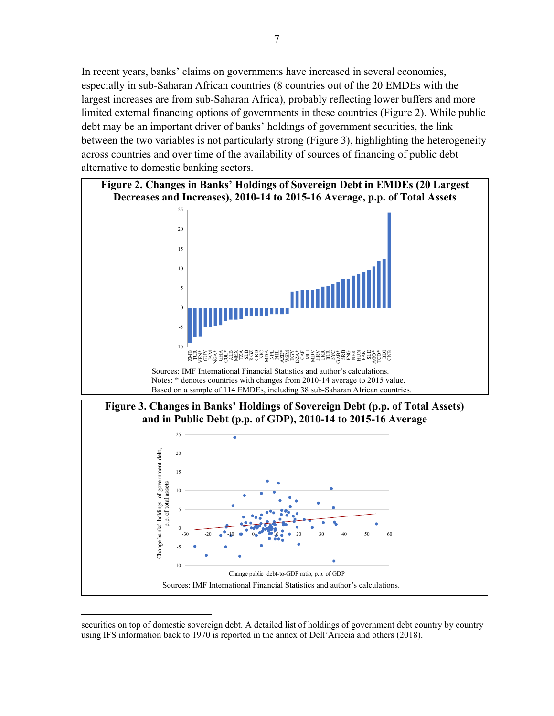In recent years, banks' claims on governments have increased in several economies, especially in sub-Saharan African countries (8 countries out of the 20 EMDEs with the largest increases are from sub-Saharan Africa), probably reflecting lower buffers and more limited external financing options of governments in these countries (Figure 2). While public debt may be an important driver of banks' holdings of government securities, the link between the two variables is not particularly strong (Figure 3), highlighting the heterogeneity across countries and over time of the availability of sources of financing of public debt alternative to domestic banking sectors.



Sources: IMF International Financial Statistics and author's calculations.

Change public debt-to-GDP ratio, p.p. of GDP

securities on top of domestic sovereign debt. A detailed list of holdings of government debt country by country using IFS information back to 1970 is reported in the annex of Dell'Ariccia and others (2018).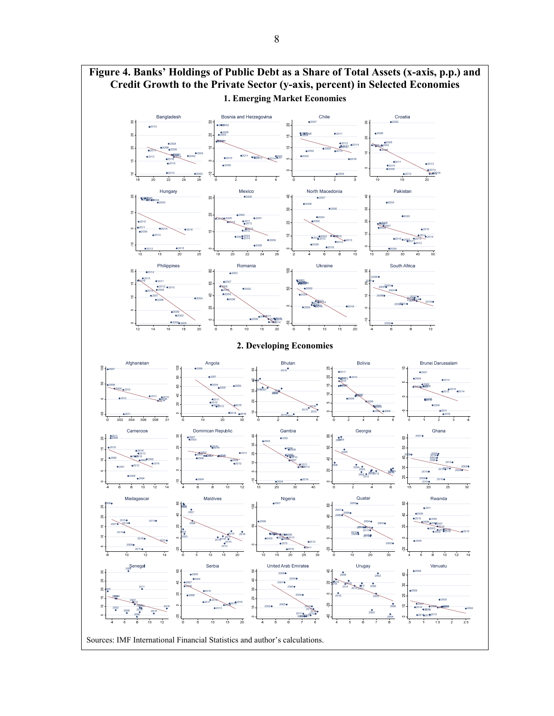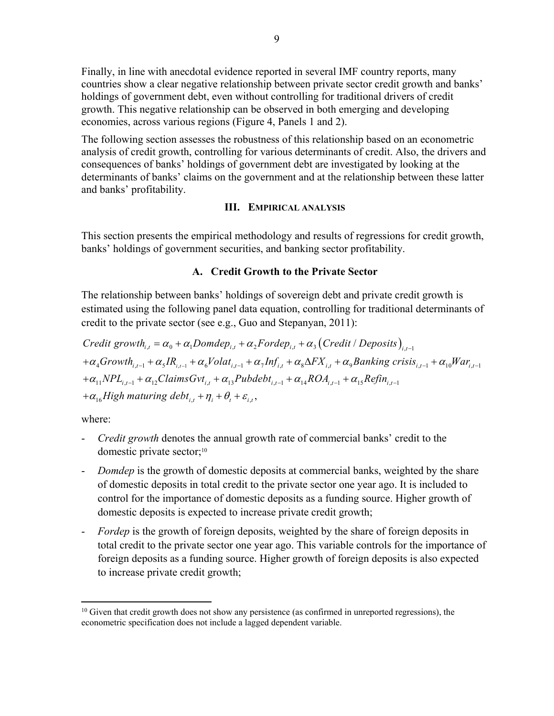Finally, in line with anecdotal evidence reported in several IMF country reports, many countries show a clear negative relationship between private sector credit growth and banks' holdings of government debt, even without controlling for traditional drivers of credit growth. This negative relationship can be observed in both emerging and developing economies, across various regions (Figure 4, Panels 1 and 2).

The following section assesses the robustness of this relationship based on an econometric analysis of credit growth, controlling for various determinants of credit. Also, the drivers and consequences of banks' holdings of government debt are investigated by looking at the determinants of banks' claims on the government and at the relationship between these latter and banks' profitability.

#### **III. EMPIRICAL ANALYSIS**

This section presents the empirical methodology and results of regressions for credit growth, banks' holdings of government securities, and banking sector profitability.

#### **A. Credit Growth to the Private Sector**

The relationship between banks' holdings of sovereign debt and private credit growth is estimated using the following panel data equation, controlling for traditional determinants of credit to the private sector (see e.g., Guo and Stepanyan, 2011):

\n
$$
\text{Credit growth}_{i,t} = \alpha_0 + \alpha_1 \text{Domdep}_{i,t} + \alpha_2 \text{Fordep}_{i,t} + \alpha_3 \left( \text{Credit} / \text{Deposits} \right)_{i,t-1} \\
+ \alpha_4 \text{Growth}_{i,t-1} + \alpha_5 \text{IR}_{i,t-1} + \alpha_6 \text{Volat}_{i,t-1} + \alpha_7 \text{Inf}_{i,t} + \alpha_8 \Delta \text{FX}_{i,t} + \alpha_9 \text{Banking crisis}_{i,t-1} + \alpha_{10} \text{War}_{i,t-1} \\
+ \alpha_{11} \text{NPL}_{i,t-1} + \alpha_{12} \text{ClaimsGvt}_{i,t} + \alpha_{13} \text{Pubdebt}_{i,t-1} + \alpha_{14} \text{ROA}_{i,t-1} + \alpha_{15} \text{Refin}_{i,t-1} \\
+ \alpha_{16} \text{High maturing debt}_{i,t} + \eta_i + \theta_i + \varepsilon_{i,t},
$$
\n

where:

- *Credit growth* denotes the annual growth rate of commercial banks' credit to the domestic private sector;<sup>10</sup>
- *Domdep* is the growth of domestic deposits at commercial banks, weighted by the share of domestic deposits in total credit to the private sector one year ago. It is included to control for the importance of domestic deposits as a funding source. Higher growth of domestic deposits is expected to increase private credit growth;
- *Fordep* is the growth of foreign deposits, weighted by the share of foreign deposits in total credit to the private sector one year ago. This variable controls for the importance of foreign deposits as a funding source. Higher growth of foreign deposits is also expected to increase private credit growth;

 $10$  Given that credit growth does not show any persistence (as confirmed in unreported regressions), the econometric specification does not include a lagged dependent variable.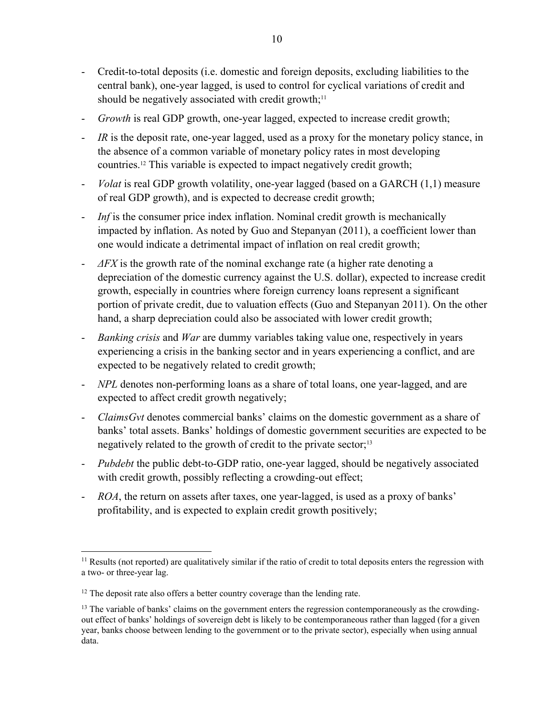- Credit-to-total deposits (i.e. domestic and foreign deposits, excluding liabilities to the central bank), one-year lagged, is used to control for cyclical variations of credit and should be negatively associated with credit growth; $11$
- *Growth* is real GDP growth, one-year lagged, expected to increase credit growth;
- *IR* is the deposit rate, one-year lagged, used as a proxy for the monetary policy stance, in the absence of a common variable of monetary policy rates in most developing countries.12 This variable is expected to impact negatively credit growth;
- *Volat* is real GDP growth volatility, one-year lagged (based on a GARCH (1,1) measure of real GDP growth), and is expected to decrease credit growth;
- *Inf* is the consumer price index inflation. Nominal credit growth is mechanically impacted by inflation. As noted by Guo and Stepanyan (2011), a coefficient lower than one would indicate a detrimental impact of inflation on real credit growth;
- *ΔFX* is the growth rate of the nominal exchange rate (a higher rate denoting a depreciation of the domestic currency against the U.S. dollar), expected to increase credit growth, especially in countries where foreign currency loans represent a significant portion of private credit, due to valuation effects (Guo and Stepanyan 2011). On the other hand, a sharp depreciation could also be associated with lower credit growth;
- *Banking crisis* and *War* are dummy variables taking value one, respectively in years experiencing a crisis in the banking sector and in years experiencing a conflict, and are expected to be negatively related to credit growth;
- *NPL* denotes non-performing loans as a share of total loans, one year-lagged, and are expected to affect credit growth negatively;
- *ClaimsGvt* denotes commercial banks' claims on the domestic government as a share of banks' total assets. Banks' holdings of domestic government securities are expected to be negatively related to the growth of credit to the private sector;<sup>13</sup>
- *Pubdebt* the public debt-to-GDP ratio, one-year lagged, should be negatively associated with credit growth, possibly reflecting a crowding-out effect;
- *ROA*, the return on assets after taxes, one year-lagged, is used as a proxy of banks' profitability, and is expected to explain credit growth positively;

1

<sup>&</sup>lt;sup>11</sup> Results (not reported) are qualitatively similar if the ratio of credit to total deposits enters the regression with a two- or three-year lag.

 $12$  The deposit rate also offers a better country coverage than the lending rate.

 $<sup>13</sup>$  The variable of banks' claims on the government enters the regression contemporaneously as the crowding-</sup> out effect of banks' holdings of sovereign debt is likely to be contemporaneous rather than lagged (for a given year, banks choose between lending to the government or to the private sector), especially when using annual data.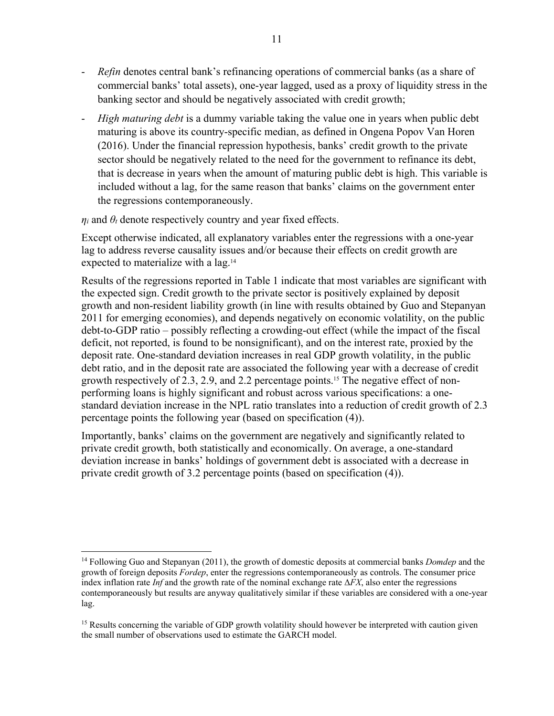- *Refin* denotes central bank's refinancing operations of commercial banks (as a share of commercial banks' total assets), one-year lagged, used as a proxy of liquidity stress in the banking sector and should be negatively associated with credit growth;
- *High maturing debt* is a dummy variable taking the value one in years when public debt maturing is above its country-specific median, as defined in Ongena Popov Van Horen (2016). Under the financial repression hypothesis, banks' credit growth to the private sector should be negatively related to the need for the government to refinance its debt, that is decrease in years when the amount of maturing public debt is high. This variable is included without a lag, for the same reason that banks' claims on the government enter the regressions contemporaneously.

 $\eta_i$  and  $\theta_t$  denote respectively country and year fixed effects.

 $\overline{a}$ 

Except otherwise indicated, all explanatory variables enter the regressions with a one-year lag to address reverse causality issues and/or because their effects on credit growth are expected to materialize with a lag.14

Results of the regressions reported in Table 1 indicate that most variables are significant with the expected sign. Credit growth to the private sector is positively explained by deposit growth and non-resident liability growth (in line with results obtained by Guo and Stepanyan 2011 for emerging economies), and depends negatively on economic volatility, on the public debt-to-GDP ratio – possibly reflecting a crowding-out effect (while the impact of the fiscal deficit, not reported, is found to be nonsignificant), and on the interest rate, proxied by the deposit rate. One-standard deviation increases in real GDP growth volatility, in the public debt ratio, and in the deposit rate are associated the following year with a decrease of credit growth respectively of 2.3, 2.9, and 2.2 percentage points.15 The negative effect of nonperforming loans is highly significant and robust across various specifications: a onestandard deviation increase in the NPL ratio translates into a reduction of credit growth of 2.3 percentage points the following year (based on specification (4)).

Importantly, banks' claims on the government are negatively and significantly related to private credit growth, both statistically and economically. On average, a one-standard deviation increase in banks' holdings of government debt is associated with a decrease in private credit growth of 3.2 percentage points (based on specification (4)).

<sup>14</sup> Following Guo and Stepanyan (2011), the growth of domestic deposits at commercial banks *Domdep* and the growth of foreign deposits *Fordep*, enter the regressions contemporaneously as controls. The consumer price index inflation rate *Inf* and the growth rate of the nominal exchange rate  $\Delta FX$ , also enter the regressions contemporaneously but results are anyway qualitatively similar if these variables are considered with a one-year lag.

<sup>&</sup>lt;sup>15</sup> Results concerning the variable of GDP growth volatility should however be interpreted with caution given the small number of observations used to estimate the GARCH model.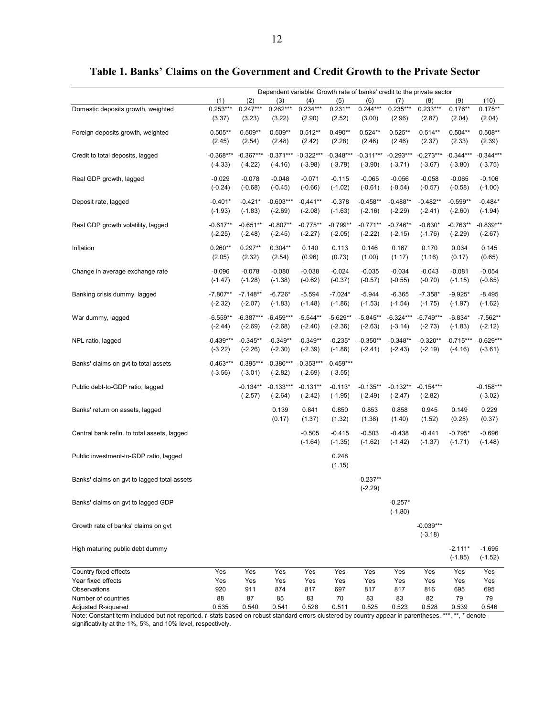|                                             | Dependent variable: Growth rate of banks' credit to the private sector |             |             |             |             |             |             |             |             |             |
|---------------------------------------------|------------------------------------------------------------------------|-------------|-------------|-------------|-------------|-------------|-------------|-------------|-------------|-------------|
|                                             | (1)                                                                    | (2)         | (3)         | (4)         | (5)         | (6)         | (7)         | (8)         | (9)         | (10)        |
| Domestic deposits growth, weighted          | $0.253***$                                                             | $0.247***$  | $0.262***$  | $0.234***$  | $0.231**$   | $0.244***$  | $0.235***$  | $0.233***$  | $0.176**$   | $0.175***$  |
|                                             | (3.37)                                                                 | (3.23)      | (3.22)      | (2.90)      | (2.52)      | (3.00)      | (2.96)      | (2.87)      | (2.04)      | (2.04)      |
| Foreign deposits growth, weighted           | $0.505**$                                                              | $0.509**$   | $0.509**$   | $0.512**$   | $0.490**$   | $0.524**$   | $0.525**$   | $0.514**$   | $0.504**$   | $0.508**$   |
|                                             | (2.45)                                                                 | (2.54)      | (2.48)      | (2.42)      | (2.28)      | (2.46)      | (2.46)      | (2.37)      | (2.33)      | (2.39)      |
|                                             |                                                                        |             |             |             |             |             |             |             |             |             |
| Credit to total deposits, lagged            | $-0.368***$                                                            | $-0.367***$ | $-0.371***$ | $-0.322***$ | $-0.348***$ | $-0.311***$ | $-0.293***$ | $-0.273***$ | $-0.344***$ | $-0.344***$ |
|                                             | $(-4.33)$                                                              | $(-4.22)$   | $(-4.16)$   | $(-3.98)$   | $(-3.79)$   | $(-3.90)$   | $(-3.71)$   | $(-3.67)$   | $(-3.80)$   | $(-3.75)$   |
| Real GDP growth, lagged                     | $-0.029$                                                               | $-0.078$    | $-0.048$    | $-0.071$    | $-0.115$    | $-0.065$    | $-0.056$    | $-0.058$    | $-0.065$    | $-0.106$    |
|                                             | $(-0.24)$                                                              | $(-0.68)$   | $(-0.45)$   | $(-0.66)$   | $(-1.02)$   | $(-0.61)$   | $(-0.54)$   | $(-0.57)$   | $(-0.58)$   | $(-1.00)$   |
|                                             | $-0.401*$                                                              | $-0.421*$   | $-0.603***$ | $-0.441**$  | $-0.378$    | $-0.458**$  | $-0.488**$  | $-0.482**$  | $-0.599**$  | $-0.484*$   |
| Deposit rate, lagged                        | $(-1.93)$                                                              | $(-1.83)$   | $(-2.69)$   | $(-2.08)$   | $(-1.63)$   | $(-2.16)$   | $(-2.29)$   | $(-2.41)$   | $(-2.60)$   | $(-1.94)$   |
|                                             |                                                                        |             |             |             |             |             |             |             |             |             |
| Real GDP growth volatility, lagged          | $-0.617**$                                                             | $-0.651**$  | $-0.807**$  | $-0.775**$  | $-0.799**$  | $-0.771**$  | $-0.746**$  | $-0.630*$   | $-0.763**$  | $-0.839***$ |
|                                             | $(-2.25)$                                                              | $(-2.48)$   | $(-2.45)$   | $(-2.27)$   | $(-2.05)$   | $(-2.22)$   | $(-2.15)$   | $(-1.76)$   | $(-2.29)$   | $(-2.67)$   |
| Inflation                                   | $0.260**$                                                              | $0.297**$   | $0.304**$   | 0.140       | 0.113       | 0.146       | 0.167       | 0.170       | 0.034       | 0.145       |
|                                             | (2.05)                                                                 | (2.32)      | (2.54)      | (0.96)      | (0.73)      | (1.00)      | (1.17)      | (1.16)      | (0.17)      | (0.65)      |
|                                             |                                                                        |             |             |             |             |             |             |             |             |             |
| Change in average exchange rate             | $-0.096$                                                               | $-0.078$    | $-0.080$    | $-0.038$    | $-0.024$    | $-0.035$    | $-0.034$    | $-0.043$    | $-0.081$    | $-0.054$    |
|                                             | $(-1.47)$                                                              | $(-1.28)$   | $(-1.38)$   | $(-0.62)$   | $(-0.37)$   | $(-0.57)$   | $(-0.55)$   | $(-0.70)$   | $(-1.15)$   | $(-0.85)$   |
| Banking crisis dummy, lagged                | $-7.807**$                                                             | $-7.148**$  | $-6.726*$   | $-5.594$    | $-7.024*$   | $-5.944$    | $-6.365$    | $-7.358*$   | $-9.925*$   | $-8.495$    |
|                                             | $(-2.32)$                                                              | $(-2.07)$   | $(-1.83)$   | $(-1.48)$   | $(-1.86)$   | $(-1.53)$   | $(-1.54)$   | $(-1.75)$   | $(-1.97)$   | $(-1.62)$   |
| War dummy, lagged                           | $-6.559**$                                                             | $-6.387***$ | $-6.459***$ | $-5.544**$  | $-5.629**$  | $-5.845**$  | $-6.324***$ | $-5.749***$ | $-6.834*$   | $-7.562**$  |
|                                             | $(-2.44)$                                                              | $(-2.69)$   | $(-2.68)$   | $(-2.40)$   | $(-2.36)$   | $(-2.63)$   | $(-3.14)$   | $(-2.73)$   | $(-1.83)$   | $(-2.12)$   |
|                                             |                                                                        |             |             |             |             |             |             |             |             |             |
| NPL ratio, lagged                           | $-0.439***$                                                            | $-0.345**$  | $-0.349**$  | $-0.349**$  | $-0.235*$   | $-0.350**$  | $-0.348**$  | $-0.320**$  | $-0.715***$ | $-0.629***$ |
|                                             | $(-3.22)$                                                              | $(-2.26)$   | $(-2.30)$   | $(-2.39)$   | $(-1.86)$   | $(-2.41)$   | $(-2.43)$   | $(-2.19)$   | $(-4.16)$   | $(-3.61)$   |
| Banks' claims on gvt to total assets        | $-0.463***$                                                            | $-0.395***$ | $-0.380***$ | $-0.353***$ | $-0.459***$ |             |             |             |             |             |
|                                             | $(-3.56)$                                                              | $(-3.01)$   | $(-2.82)$   | $(-2.69)$   | $(-3.55)$   |             |             |             |             |             |
|                                             |                                                                        |             |             |             |             |             |             |             |             |             |
| Public debt-to-GDP ratio, lagged            |                                                                        | $-0.134**$  | $-0.133***$ | $-0.131**$  | $-0.113*$   | $-0.135**$  | $-0.132**$  | $-0.154***$ |             | $-0.158***$ |
|                                             |                                                                        | $(-2.57)$   | $(-2.64)$   | $(-2.42)$   | $(-1.95)$   | $(-2.49)$   | $(-2.47)$   | $(-2.82)$   |             | $(-3.02)$   |
| Banks' return on assets, lagged             |                                                                        |             | 0.139       | 0.841       | 0.850       | 0.853       | 0.858       | 0.945       | 0.149       | 0.229       |
|                                             |                                                                        |             | (0.17)      | (1.37)      | (1.32)      | (1.38)      | (1.40)      | (1.52)      | (0.25)      | (0.37)      |
| Central bank refin. to total assets, lagged |                                                                        |             |             | $-0.505$    | $-0.415$    | $-0.503$    | $-0.438$    | $-0.441$    | $-0.795*$   | $-0.696$    |
|                                             |                                                                        |             |             | $(-1.64)$   | $(-1.35)$   | $(-1.62)$   | $(-1.42)$   | $(-1.37)$   | $(-1.71)$   | $(-1.48)$   |
|                                             |                                                                        |             |             |             |             |             |             |             |             |             |
| Public investment-to-GDP ratio, lagged      |                                                                        |             |             |             | 0.248       |             |             |             |             |             |
|                                             |                                                                        |             |             |             | (1.15)      |             |             |             |             |             |
| Banks' claims on gvt to lagged total assets |                                                                        |             |             |             |             | $-0.237**$  |             |             |             |             |
|                                             |                                                                        |             |             |             |             | $(-2.29)$   |             |             |             |             |
| Banks' claims on gvt to lagged GDP          |                                                                        |             |             |             |             |             | $-0.257*$   |             |             |             |
|                                             |                                                                        |             |             |             |             |             | $(-1.80)$   |             |             |             |
|                                             |                                                                        |             |             |             |             |             |             |             |             |             |
| Growth rate of banks' claims on gvt         |                                                                        |             |             |             |             |             |             | $-0.039***$ |             |             |
|                                             |                                                                        |             |             |             |             |             |             | $(-3.18)$   |             |             |
| High maturing public debt dummy             |                                                                        |             |             |             |             |             |             |             | $-2.111*$   | $-1.695$    |
|                                             |                                                                        |             |             |             |             |             |             |             | $(-1.85)$   | $(-1.52)$   |
|                                             |                                                                        |             |             |             |             |             |             |             |             |             |
| Country fixed effects<br>Year fixed effects | Yes<br>Yes                                                             | Yes<br>Yes  | Yes         | Yes<br>Yes  | Yes<br>Yes  | Yes<br>Yes  | Yes<br>Yes  | Yes         | Yes         | Yes<br>Yes  |
| Observations                                | 920                                                                    | 911         | Yes<br>874  | 817         | 697         | 817         | 817         | Yes<br>816  | Yes<br>695  | 695         |
| Number of countries                         | 88                                                                     | 87          | 85          | 83          | 70          | 83          | 83          | 82          | 79          | 79          |
|                                             |                                                                        |             |             |             |             |             |             |             |             |             |

#### **Table 1. Banks' Claims on the Government and Credit Growth to the Private Sector**

Adjusted R-squared 0.535 0.540 0.541 0.528 0.511 0.525 0.523 0.528 0.539 0.546 Note: Constant term included but not reported. *t*-stats based on robust standard errors clustered by country appear in parentheses. \*\*\*, \*\*, \* denote significativity at the 1%, 5%, and 10% level, respectively.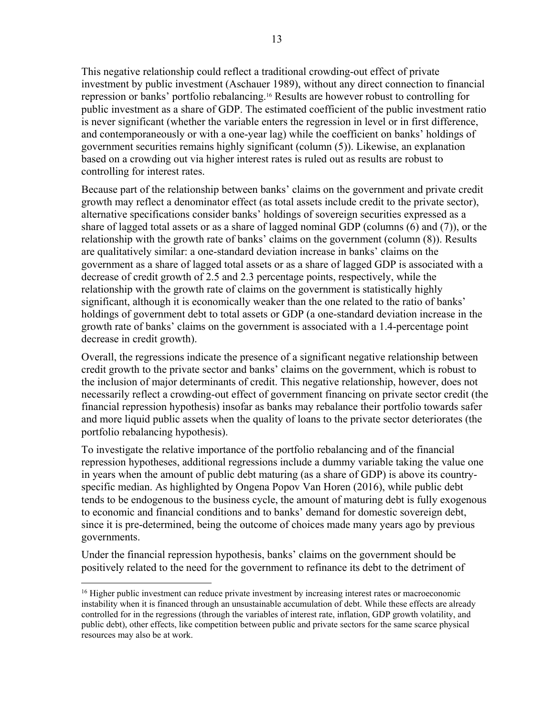This negative relationship could reflect a traditional crowding-out effect of private investment by public investment (Aschauer 1989), without any direct connection to financial repression or banks' portfolio rebalancing.16 Results are however robust to controlling for public investment as a share of GDP. The estimated coefficient of the public investment ratio is never significant (whether the variable enters the regression in level or in first difference, and contemporaneously or with a one-year lag) while the coefficient on banks' holdings of government securities remains highly significant (column (5)). Likewise, an explanation based on a crowding out via higher interest rates is ruled out as results are robust to controlling for interest rates.

Because part of the relationship between banks' claims on the government and private credit growth may reflect a denominator effect (as total assets include credit to the private sector), alternative specifications consider banks' holdings of sovereign securities expressed as a share of lagged total assets or as a share of lagged nominal GDP (columns (6) and (7)), or the relationship with the growth rate of banks' claims on the government (column (8)). Results are qualitatively similar: a one-standard deviation increase in banks' claims on the government as a share of lagged total assets or as a share of lagged GDP is associated with a decrease of credit growth of 2.5 and 2.3 percentage points, respectively, while the relationship with the growth rate of claims on the government is statistically highly significant, although it is economically weaker than the one related to the ratio of banks' holdings of government debt to total assets or GDP (a one-standard deviation increase in the growth rate of banks' claims on the government is associated with a 1.4-percentage point decrease in credit growth).

Overall, the regressions indicate the presence of a significant negative relationship between credit growth to the private sector and banks' claims on the government, which is robust to the inclusion of major determinants of credit. This negative relationship, however, does not necessarily reflect a crowding-out effect of government financing on private sector credit (the financial repression hypothesis) insofar as banks may rebalance their portfolio towards safer and more liquid public assets when the quality of loans to the private sector deteriorates (the portfolio rebalancing hypothesis).

To investigate the relative importance of the portfolio rebalancing and of the financial repression hypotheses, additional regressions include a dummy variable taking the value one in years when the amount of public debt maturing (as a share of GDP) is above its countryspecific median. As highlighted by Ongena Popov Van Horen (2016), while public debt tends to be endogenous to the business cycle, the amount of maturing debt is fully exogenous to economic and financial conditions and to banks' demand for domestic sovereign debt, since it is pre-determined, being the outcome of choices made many years ago by previous governments.

Under the financial repression hypothesis, banks' claims on the government should be positively related to the need for the government to refinance its debt to the detriment of

<sup>&</sup>lt;sup>16</sup> Higher public investment can reduce private investment by increasing interest rates or macroeconomic instability when it is financed through an unsustainable accumulation of debt. While these effects are already controlled for in the regressions (through the variables of interest rate, inflation, GDP growth volatility, and public debt), other effects, like competition between public and private sectors for the same scarce physical resources may also be at work.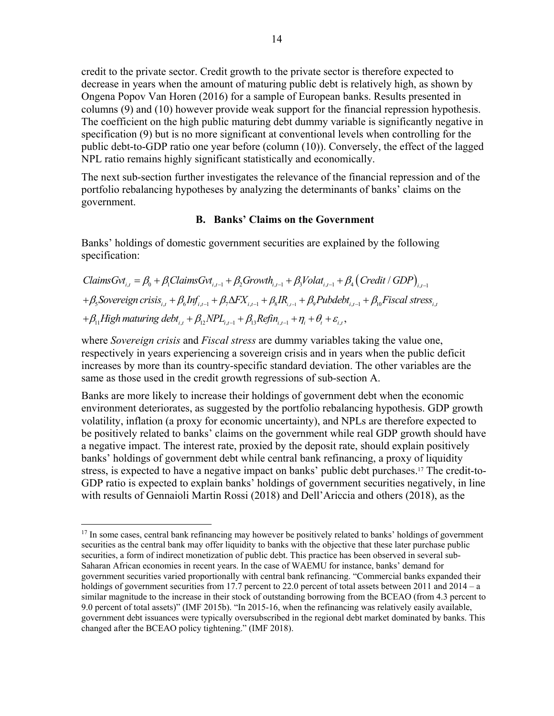credit to the private sector. Credit growth to the private sector is therefore expected to decrease in years when the amount of maturing public debt is relatively high, as shown by Ongena Popov Van Horen (2016) for a sample of European banks. Results presented in columns (9) and (10) however provide weak support for the financial repression hypothesis. The coefficient on the high public maturing debt dummy variable is significantly negative in specification (9) but is no more significant at conventional levels when controlling for the public debt-to-GDP ratio one year before (column (10)). Conversely, the effect of the lagged NPL ratio remains highly significant statistically and economically.

The next sub-section further investigates the relevance of the financial repression and of the portfolio rebalancing hypotheses by analyzing the determinants of banks' claims on the government.

#### **B. Banks' Claims on the Government**

Banks' holdings of domestic government securities are explained by the following specification:

*ClainsGvt*<sub>*i,t*</sub> = 
$$
\beta_0 + \beta_1
$$
*ClainsGvt*<sub>*i,t-1*</sub> +  $\beta_2$ *Growth*<sub>*i,t-1*</sub> +  $\beta_3$ *Volat*<sub>*i,t-1*</sub> +  $\beta_4$ *(Credit / GDP)*<sub>*i,t-1*</sub> +  $\beta_5$ *Sovereign crisis*<sub>*i,t*</sub> +  $\beta_6$ *Inf*<sub>*i,t-1*</sub> +  $\beta_7$ *ΔFX*<sub>*i,t-1*</sub> +  $\beta_8$ *IR*<sub>*i,t-1*</sub> +  $\beta_9$ *Pubdebt*<sub>*i,t-1*</sub> +  $\beta_{10}$ *Fiscal stress*<sub>*i,t*</sub> +  $\beta_{11}$ *High maturing debt*<sub>*i,t*</sub> +  $\beta_{12}$ *NPL*<sub>*i,t-1*</sub> +  $\beta_{13}$ *Refin*<sub>*i,t-1*</sub> +  $\eta_i$  +  $\theta_i$  +  $\varepsilon_{i,t}$ ,

where *Sovereign crisis* and *Fiscal stress* are dummy variables taking the value one, respectively in years experiencing a sovereign crisis and in years when the public deficit increases by more than its country-specific standard deviation. The other variables are the same as those used in the credit growth regressions of sub-section A.

Banks are more likely to increase their holdings of government debt when the economic environment deteriorates, as suggested by the portfolio rebalancing hypothesis. GDP growth volatility, inflation (a proxy for economic uncertainty), and NPLs are therefore expected to be positively related to banks' claims on the government while real GDP growth should have a negative impact. The interest rate, proxied by the deposit rate, should explain positively banks' holdings of government debt while central bank refinancing, a proxy of liquidity stress, is expected to have a negative impact on banks' public debt purchases.17 The credit-to-GDP ratio is expected to explain banks' holdings of government securities negatively, in line with results of Gennaioli Martin Rossi (2018) and Dell'Ariccia and others (2018), as the

<sup>&</sup>lt;sup>17</sup> In some cases, central bank refinancing may however be positively related to banks' holdings of government securities as the central bank may offer liquidity to banks with the objective that these later purchase public securities, a form of indirect monetization of public debt. This practice has been observed in several sub-Saharan African economies in recent years. In the case of WAEMU for instance, banks' demand for government securities varied proportionally with central bank refinancing. "Commercial banks expanded their holdings of government securities from 17.7 percent to 22.0 percent of total assets between 2011 and 2014 – a similar magnitude to the increase in their stock of outstanding borrowing from the BCEAO (from 4.3 percent to 9.0 percent of total assets)" (IMF 2015b). "In 2015-16, when the refinancing was relatively easily available, government debt issuances were typically oversubscribed in the regional debt market dominated by banks. This changed after the BCEAO policy tightening." (IMF 2018).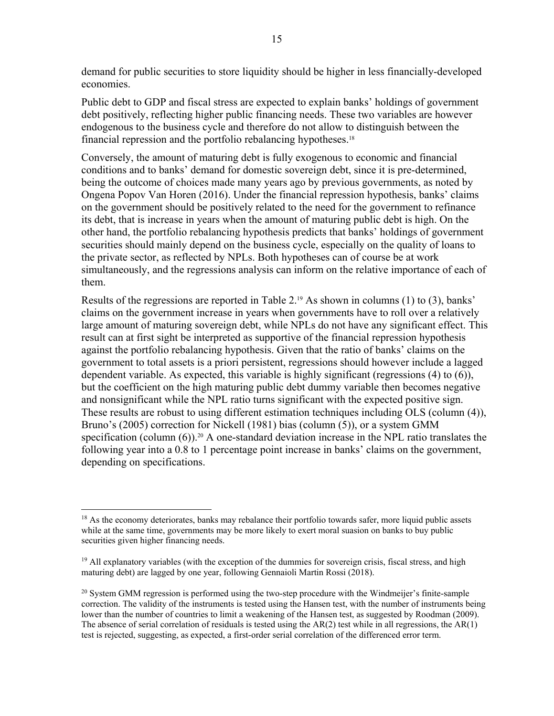demand for public securities to store liquidity should be higher in less financially-developed economies.

Public debt to GDP and fiscal stress are expected to explain banks' holdings of government debt positively, reflecting higher public financing needs. These two variables are however endogenous to the business cycle and therefore do not allow to distinguish between the financial repression and the portfolio rebalancing hypotheses.18

Conversely, the amount of maturing debt is fully exogenous to economic and financial conditions and to banks' demand for domestic sovereign debt, since it is pre-determined, being the outcome of choices made many years ago by previous governments, as noted by Ongena Popov Van Horen (2016). Under the financial repression hypothesis, banks' claims on the government should be positively related to the need for the government to refinance its debt, that is increase in years when the amount of maturing public debt is high. On the other hand, the portfolio rebalancing hypothesis predicts that banks' holdings of government securities should mainly depend on the business cycle, especially on the quality of loans to the private sector, as reflected by NPLs. Both hypotheses can of course be at work simultaneously, and the regressions analysis can inform on the relative importance of each of them.

Results of the regressions are reported in Table 2.19 As shown in columns (1) to (3), banks' claims on the government increase in years when governments have to roll over a relatively large amount of maturing sovereign debt, while NPLs do not have any significant effect. This result can at first sight be interpreted as supportive of the financial repression hypothesis against the portfolio rebalancing hypothesis. Given that the ratio of banks' claims on the government to total assets is a priori persistent, regressions should however include a lagged dependent variable. As expected, this variable is highly significant (regressions (4) to (6)), but the coefficient on the high maturing public debt dummy variable then becomes negative and nonsignificant while the NPL ratio turns significant with the expected positive sign. These results are robust to using different estimation techniques including OLS (column (4)), Bruno's (2005) correction for Nickell (1981) bias (column (5)), or a system GMM specification (column  $(6)$ ).<sup>20</sup> A one-standard deviation increase in the NPL ratio translates the following year into a 0.8 to 1 percentage point increase in banks' claims on the government, depending on specifications.

<sup>&</sup>lt;sup>18</sup> As the economy deteriorates, banks may rebalance their portfolio towards safer, more liquid public assets while at the same time, governments may be more likely to exert moral suasion on banks to buy public securities given higher financing needs.

<sup>&</sup>lt;sup>19</sup> All explanatory variables (with the exception of the dummies for sovereign crisis, fiscal stress, and high maturing debt) are lagged by one year, following Gennaioli Martin Rossi (2018).

 $^{20}$  System GMM regression is performed using the two-step procedure with the Windmeijer's finite-sample correction. The validity of the instruments is tested using the Hansen test, with the number of instruments being lower than the number of countries to limit a weakening of the Hansen test, as suggested by Roodman (2009). The absence of serial correlation of residuals is tested using the  $AR(2)$  test while in all regressions, the  $AR(1)$ test is rejected, suggesting, as expected, a first-order serial correlation of the differenced error term.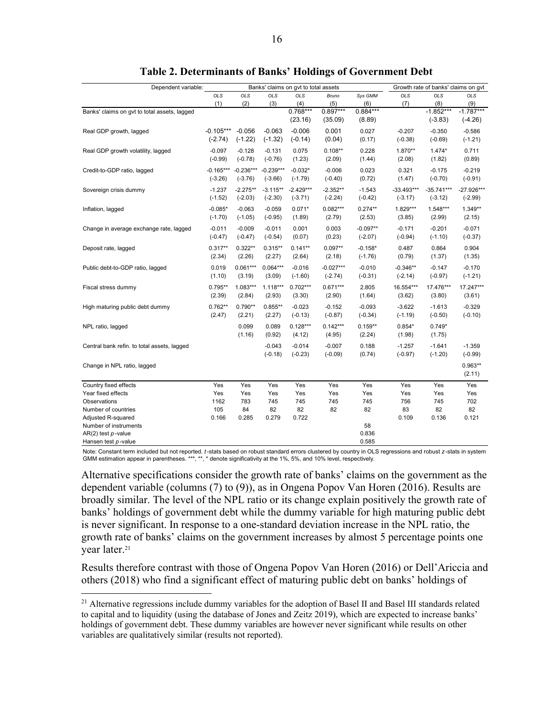| Dependent variable:                          |                       |                       | Banks' claims on gvt to total assets | Growth rate of banks' claims on gvt |                 |                         |                       |                       |                       |
|----------------------------------------------|-----------------------|-----------------------|--------------------------------------|-------------------------------------|-----------------|-------------------------|-----------------------|-----------------------|-----------------------|
|                                              | <b>OLS</b>            | <b>OLS</b>            | <b>OLS</b>                           | <b>OLS</b>                          | Bruno           | Sys GMM                 | <b>OLS</b>            | <b>OLS</b>            | <b>OLS</b>            |
|                                              | (1)                   | (2)                   | (3)                                  | (4)                                 | (5)             | (6)                     | (7)                   | (8)                   | (9)                   |
| Banks' claims on gvt to total assets, lagged |                       |                       |                                      | $0.768***$                          | $0.897***$      | $0.884***$              |                       | $-1.852***$           | $-1.787***$           |
|                                              |                       |                       |                                      | (23.16)                             | (35.09)         | (8.89)                  |                       | $(-3.83)$             | $(-4.26)$             |
| Real GDP growth, lagged                      | $-0.105***$           | $-0.056$              | $-0.063$                             | $-0.006$                            | 0.001           | 0.027                   | $-0.207$              | $-0.350$              | $-0.586$              |
|                                              | $(-2.74)$             | $(-1.22)$             | $(-1.32)$                            | $(-0.14)$                           | (0.04)          | (0.17)                  | $(-0.38)$             | $(-0.69)$             | $(-1.21)$             |
| Real GDP growth volatility, lagged           | $-0.097$              | $-0.128$              | $-0.131$                             | 0.075                               | $0.108**$       | 0.228                   | 1.870**               | $1.474*$              | 0.711                 |
|                                              | $(-0.99)$             | $(-0.78)$             | $(-0.76)$                            | (1.23)                              | (2.09)          | (1.44)                  | (2.08)                | (1.82)                | (0.89)                |
| Credit-to-GDP ratio, lagged                  | $-0.165***$           | $-0.236***$           | $-0.239***$                          | $-0.032*$                           | $-0.006$        | 0.023                   | 0.321                 | $-0.175$              | $-0.219$              |
|                                              | $(-3.26)$             | $(-3.76)$             | $(-3.66)$                            | $(-1.79)$                           | $(-0.40)$       | (0.72)                  | (1.47)                | $(-0.70)$             | $(-0.91)$             |
| Sovereign crisis dummy                       | $-1.237$              | $-2.275**$            | $-3.115**$                           | $-2.429***$                         | $-2.352**$      | $-1.543$                | $-33.493***$          | $-35.741***$          | $-27.926***$          |
|                                              | $(-1.52)$             | $(-2.03)$             | $(-2.30)$                            | $(-3.71)$                           | $(-2.24)$       | $(-0.42)$               | $(-3.17)$             | $(-3.12)$             | $(-2.99)$             |
| Inflation, lagged                            | $-0.085*$             | $-0.063$              | $-0.059$                             | $0.071*$                            | $0.082***$      | $0.274**$               | 1.829***              | 1.548***              | 1.349**               |
|                                              | $(-1.70)$             | $(-1.05)$             | $(-0.95)$                            | (1.89)                              | (2.79)          | (2.53)                  | (3.85)                | (2.99)                | (2.15)                |
|                                              |                       |                       |                                      |                                     |                 |                         |                       |                       |                       |
| Change in average exchange rate, lagged      | $-0.011$<br>$(-0.47)$ | $-0.009$<br>$(-0.47)$ | $-0.011$<br>$(-0.54)$                | 0.001<br>(0.07)                     | 0.003<br>(0.23) | $-0.097**$<br>$(-2.07)$ | $-0.171$<br>$(-0.94)$ | $-0.201$<br>$(-1.10)$ | $-0.071$<br>$(-0.37)$ |
|                                              |                       |                       |                                      |                                     |                 |                         |                       |                       |                       |
| Deposit rate, lagged                         | $0.317**$             | $0.322**$             | $0.315***$                           | $0.141**$                           | $0.097**$       | $-0.158*$               | 0.487                 | 0.864                 | 0.904                 |
|                                              | (2.34)                | (2.26)                | (2.27)                               | (2.64)                              | (2.18)          | $(-1.76)$               | (0.79)                | (1.37)                | (1.35)                |
| Public debt-to-GDP ratio, lagged             | 0.019                 | $0.061***$            | $0.064***$                           | $-0.016$                            | $-0.027***$     | $-0.010$                | $-0.346**$            | $-0.147$              | $-0.170$              |
|                                              | (1.10)                | (3.19)                | (3.09)                               | $(-1.60)$                           | $(-2.74)$       | $(-0.31)$               | $(-2.14)$             | $(-0.97)$             | $(-1.21)$             |
| Fiscal stress dummy                          | $0.795***$            | $1.083***$            | $1.118***$                           | $0.702***$                          | $0.671***$      | 2.805                   | 16.554***             | 17.476***             | 17.247***             |
|                                              | (2.39)                | (2.84)                | (2.93)                               | (3.30)                              | (2.90)          | (1.64)                  | (3.62)                | (3.80)                | (3.61)                |
| High maturing public debt dummy              | $0.762**$             | $0.790**$             | $0.855**$                            | $-0.023$                            | $-0.152$        | $-0.093$                | $-3.622$              | $-1.613$              | $-0.329$              |
|                                              | (2.47)                | (2.21)                | (2.27)                               | $(-0.13)$                           | $(-0.87)$       | $(-0.34)$               | $(-1.19)$             | $(-0.50)$             | $(-0.10)$             |
| NPL ratio, lagged                            |                       | 0.099                 | 0.089                                | $0.128***$                          | $0.142***$      | $0.159**$               | $0.854*$              | $0.749*$              |                       |
|                                              |                       | (1.16)                | (0.92)                               | (4.12)                              | (4.95)          | (2.24)                  | (1.98)                | (1.75)                |                       |
|                                              |                       |                       |                                      |                                     |                 |                         |                       |                       |                       |
| Central bank refin. to total assets, lagged  |                       |                       | $-0.043$                             | $-0.014$                            | $-0.007$        | 0.188                   | $-1.257$              | $-1.641$              | $-1.359$              |
|                                              |                       |                       | $(-0.18)$                            | $(-0.23)$                           | $(-0.09)$       | (0.74)                  | $(-0.97)$             | $(-1.20)$             | $(-0.99)$             |
| Change in NPL ratio, lagged                  |                       |                       |                                      |                                     |                 |                         |                       |                       | $0.963**$             |
|                                              |                       |                       |                                      |                                     |                 |                         |                       |                       | (2.11)                |
| Country fixed effects                        | Yes                   | Yes                   | Yes                                  | Yes                                 | Yes             | Yes                     | Yes                   | Yes                   | Yes                   |
| Year fixed effects                           | Yes                   | Yes                   | Yes                                  | Yes                                 | Yes             | Yes                     | Yes                   | Yes                   | Yes                   |
| Observations                                 | 1162                  | 783                   | 745                                  | 745                                 | 745             | 745                     | 756                   | 745                   | 702                   |
| Number of countries                          | 105                   | 84                    | 82                                   | 82                                  | 82              | 82                      | 83                    | 82                    | 82                    |
| Adjusted R-squared                           | 0.166                 | 0.285                 | 0.279                                | 0.722                               |                 |                         | 0.109                 | 0.136                 | 0.121                 |
| Number of instruments<br>AR(2) test p-value  |                       |                       |                                      |                                     |                 | 58<br>0.836             |                       |                       |                       |
| Hansen test <i>p</i> -value                  |                       |                       |                                      |                                     |                 | 0.585                   |                       |                       |                       |
|                                              |                       |                       |                                      |                                     |                 |                         |                       |                       |                       |

|  | <b>Table 2. Determinants of Banks' Holdings of Government Debt</b> |  |  |  |  |  |
|--|--------------------------------------------------------------------|--|--|--|--|--|
|  |                                                                    |  |  |  |  |  |

Note: Constant term included but not reported. *t* -stats based on robust standard errors clustered by country in OLS regressions and robust *z* -stats in system GMM estimation appear in parentheses. \*\*\*, \*\*, \* denote significativity at the 1%, 5%, and 10% level, respectively.

Alternative specifications consider the growth rate of banks' claims on the government as the dependent variable (columns (7) to (9)), as in Ongena Popov Van Horen (2016). Results are broadly similar. The level of the NPL ratio or its change explain positively the growth rate of banks' holdings of government debt while the dummy variable for high maturing public debt is never significant. In response to a one-standard deviation increase in the NPL ratio, the growth rate of banks' claims on the government increases by almost 5 percentage points one year later.<sup>21</sup>

Results therefore contrast with those of Ongena Popov Van Horen (2016) or Dell'Ariccia and others (2018) who find a significant effect of maturing public debt on banks' holdings of

<sup>&</sup>lt;sup>21</sup> Alternative regressions include dummy variables for the adoption of Basel II and Basel III standards related to capital and to liquidity (using the database of Jones and Zeitz 2019), which are expected to increase banks' holdings of government debt. These dummy variables are however never significant while results on other variables are qualitatively similar (results not reported).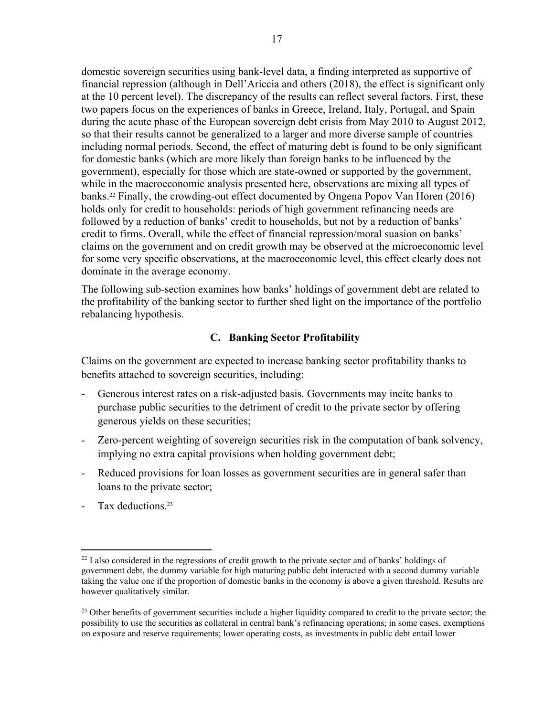domestic sovereign securities using bank-level data, a finding interpreted as supportive of financial repression (although in Dell'Ariccia and others (2018), the effect is significant only at the 10 percent level). The discrepancy of the results can reflect several factors. First, these two papers focus on the experiences of banks in Greece, Ireland, Italy, Portugal, and Spain during the acute phase of the European sovereign debt crisis from May 2010 to August 2012, so that their results cannot be generalized to a larger and more diverse sample of countries including normal periods. Second, the effect of maturing debt is found to be only significant for domestic banks (which are more likely than foreign banks to be influenced by the government), especially for those which are state-owned or supported by the government, while in the macroeconomic analysis presented here, observations are mixing all types of banks.22 Finally, the crowding-out effect documented by Ongena Popov Van Horen (2016) holds only for credit to households: periods of high government refinancing needs are followed by a reduction of banks' credit to households, but not by a reduction of banks' credit to firms. Overall, while the effect of financial repression/moral suasion on banks' claims on the government and on credit growth may be observed at the microeconomic level for some very specific observations, at the macroeconomic level, this effect clearly does not dominate in the average economy.

The following sub-section examines how banks' holdings of government debt are related to the profitability of the banking sector to further shed light on the importance of the portfolio rebalancing hypothesis.

#### **C. Banking Sector Profitability**

Claims on the government are expected to increase banking sector profitability thanks to benefits attached to sovereign securities, including:

- Generous interest rates on a risk-adjusted basis. Governments may incite banks to purchase public securities to the detriment of credit to the private sector by offering generous yields on these securities;
- Zero-percent weighting of sovereign securities risk in the computation of bank solvency, implying no extra capital provisions when holding government debt;
- Reduced provisions for loan losses as government securities are in general safer than loans to the private sector;
- Tax deductions.<sup>23</sup>

 $^{22}$  I also considered in the regressions of credit growth to the private sector and of banks' holdings of government debt, the dummy variable for high maturing public debt interacted with a second dummy variable taking the value one if the proportion of domestic banks in the economy is above a given threshold. Results are however qualitatively similar.

 $23$  Other benefits of government securities include a higher liquidity compared to credit to the private sector; the possibility to use the securities as collateral in central bank's refinancing operations; in some cases, exemptions on exposure and reserve requirements; lower operating costs, as investments in public debt entail lower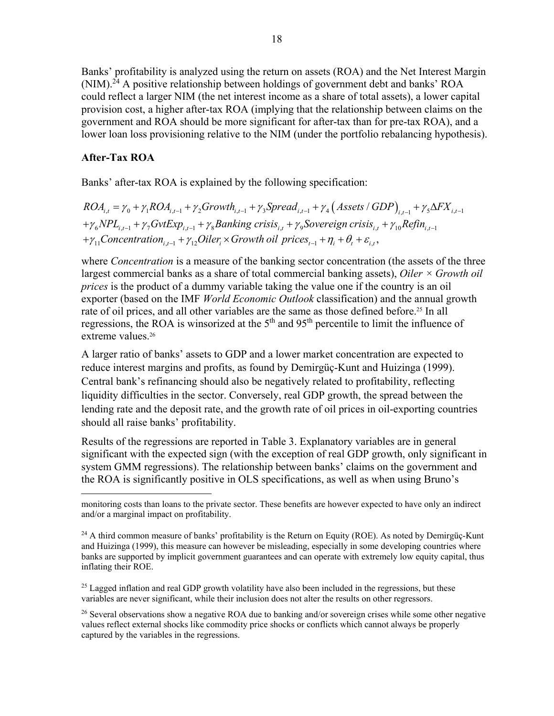Banks' profitability is analyzed using the return on assets (ROA) and the Net Interest Margin  $(NIM).<sup>24</sup>$  A positive relationship between holdings of government debt and banks' ROA could reflect a larger NIM (the net interest income as a share of total assets), a lower capital provision cost, a higher after-tax ROA (implying that the relationship between claims on the government and ROA should be more significant for after-tax than for pre-tax ROA), and a lower loan loss provisioning relative to the NIM (under the portfolio rebalancing hypothesis).

#### **After-Tax ROA**

 $\overline{a}$ 

Banks' after-tax ROA is explained by the following specification:

 $ROA_{i,t} = \gamma_0 + \gamma_1 ROA_{i,t-1} + \gamma_2 Growth_{i,t-1} + \gamma_3 Spread_{i,t-1} + \gamma_4 (Assets / GDP)_{i,t-1} + \gamma_5 \Delta FX_{i,t-1}$  $+\gamma_6 NPL_{i,t-1} +\gamma_7 GvtExp_{i,t-1} +\gamma_8 Banking \text{ crisis}_{i,t} +\gamma_9 Sovereign \text{ crisis}_{i,t} +\gamma_{10} Refin_{i,t-1}$  $+\gamma_{11}$ Concentration<sub>i,t-1</sub> +  $\gamma_{12}$ Oiler<sub>i</sub> × Growth oil prices<sub>t-1</sub> +  $\eta_i$  +  $\theta_i$  +  $\varepsilon_{i,t}$ ,

where *Concentration* is a measure of the banking sector concentration (the assets of the three largest commercial banks as a share of total commercial banking assets), *Oiler × Growth oil prices* is the product of a dummy variable taking the value one if the country is an oil exporter (based on the IMF *World Economic Outlook* classification) and the annual growth rate of oil prices, and all other variables are the same as those defined before.<sup>25</sup> In all regressions, the ROA is winsorized at the  $5<sup>th</sup>$  and  $95<sup>th</sup>$  percentile to limit the influence of extreme values.<sup>26</sup>

A larger ratio of banks' assets to GDP and a lower market concentration are expected to reduce interest margins and profits, as found by Demirgüç-Kunt and Huizinga (1999). Central bank's refinancing should also be negatively related to profitability, reflecting liquidity difficulties in the sector. Conversely, real GDP growth, the spread between the lending rate and the deposit rate, and the growth rate of oil prices in oil-exporting countries should all raise banks' profitability.

Results of the regressions are reported in Table 3. Explanatory variables are in general significant with the expected sign (with the exception of real GDP growth, only significant in system GMM regressions). The relationship between banks' claims on the government and the ROA is significantly positive in OLS specifications, as well as when using Bruno's

 $^{25}$  Lagged inflation and real GDP growth volatility have also been included in the regressions, but these variables are never significant, while their inclusion does not alter the results on other regressors.

<sup>26</sup> Several observations show a negative ROA due to banking and/or sovereign crises while some other negative values reflect external shocks like commodity price shocks or conflicts which cannot always be properly captured by the variables in the regressions.

monitoring costs than loans to the private sector. These benefits are however expected to have only an indirect and/or a marginal impact on profitability.

 $^{24}$  A third common measure of banks' profitability is the Return on Equity (ROE). As noted by Demirgüç-Kunt and Huizinga (1999), this measure can however be misleading, especially in some developing countries where banks are supported by implicit government guarantees and can operate with extremely low equity capital, thus inflating their ROE.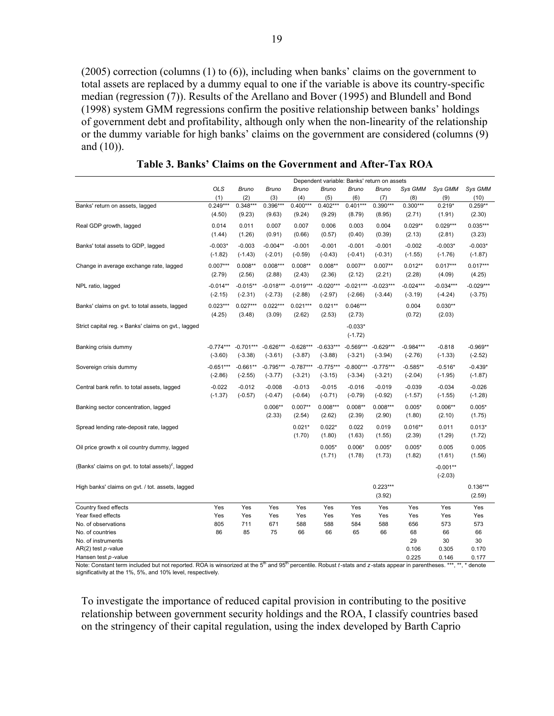(2005) correction (columns (1) to (6)), including when banks' claims on the government to total assets are replaced by a dummy equal to one if the variable is above its country-specific median (regression (7)). Results of the Arellano and Bover (1995) and Blundell and Bond (1998) system GMM regressions confirm the positive relationship between banks' holdings of government debt and profitability, although only when the non-linearity of the relationship or the dummy variable for high banks' claims on the government are considered (columns (9) and (10)).

|                                                               | Dependent variable: Banks' return on assets |                       |                       |                       |                       |                       |                       |                |                |                       |
|---------------------------------------------------------------|---------------------------------------------|-----------------------|-----------------------|-----------------------|-----------------------|-----------------------|-----------------------|----------------|----------------|-----------------------|
|                                                               | OLS                                         | <b>Bruno</b>          | Bruno                 | <b>Bruno</b>          | Bruno                 | Bruno                 | <b>Bruno</b>          | Sys GMM        | Sys GMM        | Sys GMM               |
|                                                               | (1)                                         | (2)                   | (3)                   | (4)                   | (5)                   | (6)                   | (7)                   | (8)            | (9)            | (10)                  |
| Banks' return on assets, lagged                               | $0.249***$                                  | $0.348***$            | $0.396***$            | $0.400***$            | $0.402***$            | $0.401***$            | $0.390***$            | $0.300***$     | $0.219*$       | $0.259**$             |
|                                                               | (4.50)                                      | (9.23)                | (9.63)                | (9.24)                | (9.29)                | (8.79)                | (8.95)                | (2.71)         | (1.91)         | (2.30)                |
| Real GDP growth, lagged                                       | 0.014                                       | 0.011                 | 0.007                 | 0.007                 | 0.006                 | 0.003                 | 0.004                 | $0.029**$      | $0.029***$     | $0.035***$            |
|                                                               | (1.44)                                      | (1.26)                | (0.91)                | (0.66)                | (0.57)                | (0.40)                | (0.39)                | (2.13)         | (2.81)         | (3.23)                |
| Banks' total assets to GDP, lagged                            | $-0.003*$                                   | $-0.003$              | $-0.004**$            | $-0.001$              | $-0.001$              | $-0.001$              | $-0.001$              | $-0.002$       | $-0.003*$      | $-0.003*$             |
|                                                               | $(-1.82)$                                   | $(-1.43)$             | $(-2.01)$             | $(-0.59)$             | $(-0.43)$             | $(-0.41)$             | $(-0.31)$             | $(-1.55)$      | $(-1.76)$      | $(-1.87)$             |
| Change in average exchange rate, lagged                       | $0.007***$                                  | $0.008**$             | $0.008***$            | $0.008**$             | $0.008**$             | $0.007**$             | $0.007**$             | $0.012**$      | $0.017***$     | $0.017***$            |
|                                                               | (2.79)                                      | (2.56)                | (2.88)                | (2.43)                | (2.36)                | (2.12)                | (2.21)                | (2.28)         | (4.09)         | (4.25)                |
| NPL ratio, lagged                                             | $-0.014**$                                  | $-0.015**$            | $-0.018***$           | $-0.019***$           | $-0.020***$           | $-0.021***$           | $-0.023***$           | $-0.024***$    | $-0.034***$    | $-0.029***$           |
|                                                               | $(-2.15)$                                   | $(-2.31)$             | $(-2.73)$             | $(-2.88)$             | $(-2.97)$             | $(-2.66)$             | $(-3.44)$             | $(-3.19)$      | $(-4.24)$      | $(-3.75)$             |
| Banks' claims on gvt. to total assets, lagged                 | $0.023***$                                  | $0.027***$            | $0.022***$            | $0.021***$            | $0.021**$             | $0.046***$            |                       | 0.004          | $0.030**$      |                       |
|                                                               | (4.25)                                      | (3.48)                | (3.09)                | (2.62)                | (2.53)                | (2.73)                |                       | (0.72)         | (2.03)         |                       |
| Strict capital reg. x Banks' claims on gvt., lagged           |                                             |                       |                       |                       |                       | $-0.033*$             |                       |                |                |                       |
|                                                               |                                             |                       |                       |                       |                       | $(-1.72)$             |                       |                |                |                       |
| Banking crisis dummy                                          | $-0.774***$                                 | $-0.701***$           | $-0.626***$           | $-0.628***$           | $-0.633***$           | $-0.569***$           | $-0.629***$           | $-0.984***$    | $-0.818$       | $-0.969**$            |
|                                                               | $(-3.60)$                                   | $(-3.38)$             | $(-3.61)$             | $(-3.87)$             | $(-3.88)$             | $(-3.21)$             | $(-3.94)$             | $(-2.76)$      | $(-1.33)$      | $(-2.52)$             |
|                                                               | $-0.651***$                                 | $-0.661**$            | $-0.795***$           | $-0.787***$           | $-0.775***$           | $-0.800***$           | $-0.775***$           | $-0.585**$     | $-0.516*$      | $-0.439*$             |
| Sovereign crisis dummy                                        | $(-2.86)$                                   | $(-2.55)$             | $(-3.77)$             | $(-3.21)$             | $(-3.15)$             | $(-3.34)$             | $(-3.21)$             | $(-2.04)$      | $(-1.95)$      | $(-1.87)$             |
|                                                               |                                             |                       |                       |                       |                       |                       |                       |                |                |                       |
| Central bank refin. to total assets, lagged                   | $-0.022$<br>$(-1.37)$                       | $-0.012$<br>$(-0.57)$ | $-0.008$<br>$(-0.47)$ | $-0.013$<br>$(-0.64)$ | $-0.015$<br>$(-0.71)$ | $-0.016$<br>$(-0.79)$ | $-0.019$<br>$(-0.92)$ | $-0.039$       | $-0.034$       | $-0.026$<br>$(-1.28)$ |
|                                                               |                                             |                       |                       |                       |                       |                       |                       | $(-1.57)$      | $(-1.55)$      |                       |
| Banking sector concentration, lagged                          |                                             |                       | $0.006**$             | $0.007**$             | $0.008***$            | $0.008**$             | $0.008***$            | $0.005*$       | $0.006**$      | $0.005*$              |
|                                                               |                                             |                       | (2.33)                | (2.54)                | (2.62)                | (2.39)                | (2.90)                | (1.80)         | (2.10)         | (1.75)                |
| Spread lending rate-deposit rate, lagged                      |                                             |                       |                       | $0.021*$              | $0.022*$              | 0.022                 | 0.019                 | $0.016**$      | 0.011          | $0.013*$              |
|                                                               |                                             |                       |                       | (1.70)                | (1.80)                | (1.63)                | (1.55)                | (2.39)         | (1.29)         | (1.72)                |
| Oil price growth x oil country dummy, lagged                  |                                             |                       |                       |                       | $0.005*$              | $0.006*$              | $0.005*$              | $0.005*$       | 0.005          | 0.005                 |
|                                                               |                                             |                       |                       |                       | (1.71)                | (1.78)                | (1.73)                | (1.82)         | (1.61)         | (1.56)                |
| (Banks' claims on gvt. to total assets) <sup>2</sup> , lagged |                                             |                       |                       |                       |                       |                       |                       |                | $-0.001**$     |                       |
|                                                               |                                             |                       |                       |                       |                       |                       |                       |                | $(-2.03)$      |                       |
| High banks' claims on gvt. / tot. assets, lagged              |                                             |                       |                       |                       |                       |                       | $0.223***$            |                |                | $0.136***$            |
|                                                               |                                             |                       |                       |                       |                       |                       | (3.92)                |                |                | (2.59)                |
| Country fixed effects                                         | Yes                                         | Yes                   | Yes                   | Yes                   | Yes                   | Yes                   | Yes                   | Yes            | Yes            | Yes                   |
| Year fixed effects                                            | Yes                                         | Yes                   | Yes                   | Yes                   | Yes                   | Yes                   | Yes                   | Yes            | Yes            | Yes                   |
| No. of observations                                           | 805                                         | 711                   | 671                   | 588                   | 588                   | 584                   | 588                   | 656            | 573            | 573                   |
| No. of countries                                              | 86                                          | 85                    | 75                    | 66                    | 66                    | 65                    | 66                    | 68             | 66             | 66                    |
| No. of instruments                                            |                                             |                       |                       |                       |                       |                       |                       | 29             | 30             | 30                    |
| $AR(2)$ test $p$ -value<br>Hansen test p-value                |                                             |                       |                       |                       |                       |                       |                       | 0.106<br>0.225 | 0.305<br>0.146 | 0.170<br>0.177        |
|                                                               |                                             |                       |                       |                       |                       |                       |                       |                |                |                       |

**Table 3. Banks' Claims on the Government and After-Tax ROA**

Note: Constant term included but not reported. ROA is winsorized at the 5<sup>th</sup> and 95<sup>th</sup> percentile. Robust *t*-stats and *z*-stats appear in parentheses. \*\*\*, \*\*, \* denote significativity at the 1%, 5%, and 10% level, respectively.

To investigate the importance of reduced capital provision in contributing to the positive relationship between government security holdings and the ROA, I classify countries based on the stringency of their capital regulation, using the index developed by Barth Caprio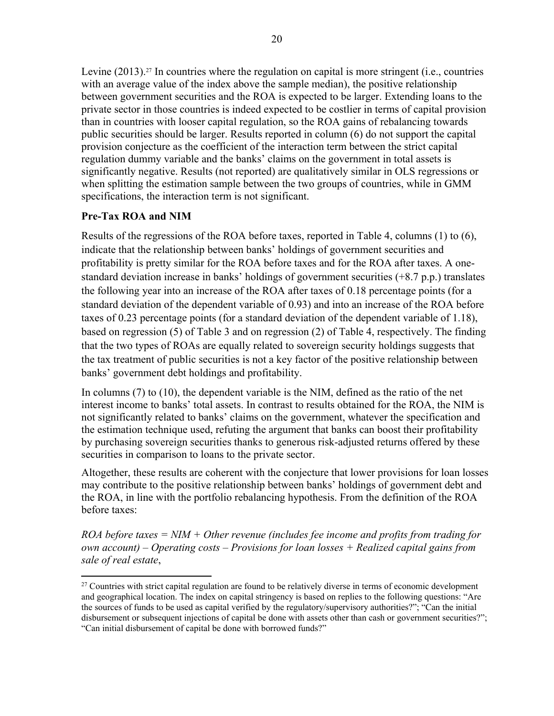Levine (2013).<sup>27</sup> In countries where the regulation on capital is more stringent (i.e., countries with an average value of the index above the sample median), the positive relationship between government securities and the ROA is expected to be larger. Extending loans to the private sector in those countries is indeed expected to be costlier in terms of capital provision than in countries with looser capital regulation, so the ROA gains of rebalancing towards public securities should be larger. Results reported in column (6) do not support the capital provision conjecture as the coefficient of the interaction term between the strict capital regulation dummy variable and the banks' claims on the government in total assets is significantly negative. Results (not reported) are qualitatively similar in OLS regressions or when splitting the estimation sample between the two groups of countries, while in GMM specifications, the interaction term is not significant.

### **Pre-Tax ROA and NIM**

 $\overline{a}$ 

Results of the regressions of the ROA before taxes, reported in Table 4, columns (1) to (6), indicate that the relationship between banks' holdings of government securities and profitability is pretty similar for the ROA before taxes and for the ROA after taxes. A onestandard deviation increase in banks' holdings of government securities (+8.7 p.p.) translates the following year into an increase of the ROA after taxes of 0.18 percentage points (for a standard deviation of the dependent variable of 0.93) and into an increase of the ROA before taxes of 0.23 percentage points (for a standard deviation of the dependent variable of 1.18), based on regression (5) of Table 3 and on regression (2) of Table 4, respectively. The finding that the two types of ROAs are equally related to sovereign security holdings suggests that the tax treatment of public securities is not a key factor of the positive relationship between banks' government debt holdings and profitability.

In columns (7) to (10), the dependent variable is the NIM, defined as the ratio of the net interest income to banks' total assets. In contrast to results obtained for the ROA, the NIM is not significantly related to banks' claims on the government, whatever the specification and the estimation technique used, refuting the argument that banks can boost their profitability by purchasing sovereign securities thanks to generous risk-adjusted returns offered by these securities in comparison to loans to the private sector.

Altogether, these results are coherent with the conjecture that lower provisions for loan losses may contribute to the positive relationship between banks' holdings of government debt and the ROA, in line with the portfolio rebalancing hypothesis. From the definition of the ROA before taxes:

*ROA before taxes = NIM + Other revenue (includes fee income and profits from trading for own account) – Operating costs – Provisions for loan losses + Realized capital gains from sale of real estate*,

 $27$  Countries with strict capital regulation are found to be relatively diverse in terms of economic development and geographical location. The index on capital stringency is based on replies to the following questions: "Are the sources of funds to be used as capital verified by the regulatory/supervisory authorities?"; "Can the initial disbursement or subsequent injections of capital be done with assets other than cash or government securities?"; "Can initial disbursement of capital be done with borrowed funds?"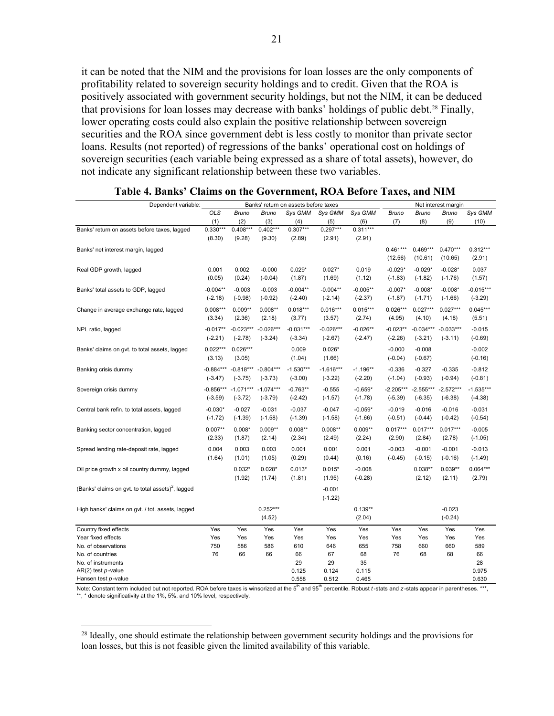it can be noted that the NIM and the provisions for loan losses are the only components of profitability related to sovereign security holdings and to credit. Given that the ROA is positively associated with government security holdings, but not the NIM, it can be deduced that provisions for loan losses may decrease with banks' holdings of public debt.<sup>28</sup> Finally, lower operating costs could also explain the positive relationship between sovereign securities and the ROA since government debt is less costly to monitor than private sector loans. Results (not reported) of regressions of the banks' operational cost on holdings of sovereign securities (each variable being expressed as a share of total assets), however, do not indicate any significant relationship between these two variables.

| Dependent variable:                                           |                          | Banks' return on assets before taxes |                          |                          |                          |                         |                          | Net interest margin      |                          |                          |  |
|---------------------------------------------------------------|--------------------------|--------------------------------------|--------------------------|--------------------------|--------------------------|-------------------------|--------------------------|--------------------------|--------------------------|--------------------------|--|
|                                                               | OLS                      | <b>Bruno</b>                         | <b>Bruno</b>             | Sys GMM                  | Sys GMM                  | Sys GMM                 | <b>Bruno</b>             | <b>Bruno</b>             | Bruno                    | Sys GMM                  |  |
|                                                               | (1)                      | (2)                                  | (3)                      | (4)                      | (5)                      | (6)                     | (7)                      | (8)                      | (9)                      | (10)                     |  |
| Banks' return on assets before taxes, lagged                  | $0.330***$<br>(8.30)     | $0.408***$<br>(9.28)                 | $0.402***$<br>(9.30)     | $0.307***$<br>(2.89)     | $0.297***$<br>(2.91)     | $0.311***$<br>(2.91)    |                          |                          |                          |                          |  |
| Banks' net interest margin, lagged                            |                          |                                      |                          |                          |                          |                         | $0.461***$<br>(12.56)    | $0.469***$<br>(10.61)    | $0.470***$<br>(10.65)    | $0.312***$<br>(2.91)     |  |
| Real GDP growth, lagged                                       | 0.001<br>(0.05)          | 0.002<br>(0.24)                      | $-0.000$<br>$(-0.04)$    | $0.029*$<br>(1.87)       | $0.027*$<br>(1.69)       | 0.019<br>(1.12)         | $-0.029*$<br>$(-1.83)$   | $-0.029*$<br>$(-1.82)$   | $-0.028*$<br>$(-1.76)$   | 0.037<br>(1.57)          |  |
| Banks' total assets to GDP, lagged                            | $-0.004**$<br>$(-2.18)$  | $-0.003$<br>$(-0.98)$                | $-0.003$<br>$(-0.92)$    | $-0.004**$<br>$(-2.40)$  | $-0.004**$<br>$(-2.14)$  | $-0.005**$<br>$(-2.37)$ | $-0.007*$<br>$(-1.87)$   | $-0.008*$<br>$(-1.71)$   | $-0.008*$<br>$(-1.66)$   | $-0.015***$<br>$(-3.29)$ |  |
| Change in average exchange rate, lagged                       | $0.008***$<br>(3.34)     | $0.009**$<br>(2.36)                  | $0.008**$<br>(2.18)      | $0.018***$<br>(3.77)     | $0.016***$<br>(3.57)     | $0.015***$<br>(2.74)    | $0.026***$<br>(4.95)     | $0.027***$<br>(4.10)     | $0.027***$<br>(4.18)     | $0.045***$<br>(5.51)     |  |
| NPL ratio, lagged                                             | $-0.017**$<br>$(-2.21)$  | $-0.023***$<br>$(-2.78)$             | $-0.026***$<br>$(-3.24)$ | $-0.031***$<br>$(-3.34)$ | $-0.026***$<br>$(-2.67)$ | $-0.026**$<br>$(-2.47)$ | $-0.023**$<br>$(-2.26)$  | $-0.034***$<br>$(-3.21)$ | $-0.033***$<br>$(-3.11)$ | $-0.015$<br>$(-0.69)$    |  |
| Banks' claims on gvt. to total assets, lagged                 | $0.022***$<br>(3.13)     | $0.026***$<br>(3.05)                 |                          | 0.009<br>(1.04)          | $0.026*$<br>(1.66)       |                         | $-0.000$<br>$(-0.04)$    | $-0.008$<br>$(-0.67)$    |                          | $-0.002$<br>$(-0.16)$    |  |
| Banking crisis dummy                                          | -0.884***<br>$(-3.47)$   | $-0.818***$<br>$(-3.75)$             | $-0.804***$<br>$(-3.73)$ | $-1.530***$<br>$(-3.00)$ | $-1.616***$<br>$(-3.22)$ | $-1.196**$<br>$(-2.20)$ | $-0.336$<br>$(-1.04)$    | $-0.327$<br>$(-0.93)$    | $-0.335$<br>$(-0.94)$    | $-0.812$<br>$(-0.81)$    |  |
| Sovereign crisis dummy                                        | $-0.856***$<br>$(-3.59)$ | $-1.071***$<br>$(-3.72)$             | $-1.074***$<br>$(-3.79)$ | $-0.763**$<br>$(-2.42)$  | $-0.555$<br>$(-1.57)$    | $-0.659*$<br>$(-1.78)$  | $-2.205***$<br>$(-5.39)$ | $-2.555***$<br>$(-6.35)$ | $-2.572***$<br>$(-6.38)$ | $-1.535***$<br>$(-4.38)$ |  |
| Central bank refin. to total assets, lagged                   | $-0.030*$<br>$(-1.72)$   | $-0.027$<br>$(-1.39)$                | $-0.031$<br>$(-1.58)$    | $-0.037$<br>$(-1.39)$    | $-0.047$<br>$(-1.58)$    | $-0.059*$<br>$(-1.66)$  | $-0.019$<br>$(-0.51)$    | $-0.016$<br>$(-0.44)$    | $-0.016$<br>$(-0.42)$    | $-0.031$<br>$(-0.54)$    |  |
| Banking sector concentration, lagged                          | $0.007**$<br>(2.33)      | $0.008*$<br>(1.87)                   | $0.009**$<br>(2.14)      | $0.008**$<br>(2.34)      | $0.008**$<br>(2.49)      | $0.009**$<br>(2.24)     | $0.017***$<br>(2.90)     | $0.017***$<br>(2.84)     | $0.017***$<br>(2.78)     | $-0.005$<br>$(-1.05)$    |  |
| Spread lending rate-deposit rate, lagged                      | 0.004<br>(1.64)          | 0.003<br>(1.01)                      | 0.003<br>(1.05)          | 0.001<br>(0.29)          | 0.001<br>(0.44)          | 0.001<br>(0.16)         | $-0.003$<br>$(-0.45)$    | $-0.001$<br>$(-0.15)$    | $-0.001$<br>$(-0.16)$    | $-0.013$<br>$(-1.49)$    |  |
| Oil price growth x oil country dummy, lagged                  |                          | $0.032*$<br>(1.92)                   | $0.028*$<br>(1.74)       | $0.013*$<br>(1.81)       | $0.015*$<br>(1.95)       | $-0.008$<br>$(-0.28)$   |                          | $0.038**$<br>(2.12)      | $0.039**$<br>(2.11)      | $0.064***$<br>(2.79)     |  |
| (Banks' claims on gvt. to total assets) <sup>2</sup> , lagged |                          |                                      |                          |                          | $-0.001$<br>$(-1.22)$    |                         |                          |                          |                          |                          |  |
| High banks' claims on gvt. / tot. assets, lagged              |                          |                                      | $0.252***$<br>(4.52)     |                          |                          | $0.139**$<br>(2.04)     |                          |                          | $-0.023$<br>$(-0.24)$    |                          |  |
| Country fixed effects                                         | Yes                      | Yes                                  | Yes                      | Yes                      | Yes                      | Yes                     | Yes                      | Yes                      | Yes                      | Yes                      |  |
| Year fixed effects                                            | Yes                      | Yes                                  | Yes                      | Yes                      | Yes                      | Yes                     | Yes                      | Yes                      | Yes                      | Yes                      |  |
| No. of observations                                           | 750                      | 586                                  | 586                      | 610                      | 646                      | 655                     | 758                      | 660                      | 660                      | 589                      |  |
| No. of countries                                              | 76                       | 66                                   | 66                       | 66                       | 67                       | 68                      | 76                       | 68                       | 68                       | 66                       |  |
| No. of instruments                                            |                          |                                      |                          | 29                       | 29                       | 35                      |                          |                          |                          | 28                       |  |
| $AR(2)$ test $p$ -value                                       |                          |                                      |                          | 0.125                    | 0.124                    | 0.115                   |                          |                          |                          | 0.975                    |  |
| Hansen test p-value                                           |                          |                                      |                          | 0.558                    | 0.512                    | 0.465                   |                          |                          |                          | 0.630                    |  |

| Table 4. Banks' Claims on the Government, ROA Before Taxes, and NIM |
|---------------------------------------------------------------------|
|---------------------------------------------------------------------|

Note: Constant term included but not reported. ROA before taxes is winsorized at the 5<sup>th</sup> and 95<sup>th</sup> percentile. Robust *t*-stats and *z*-stats appear in parentheses. \*\*\*,  $**$ ,  $*$  denote significativity at the 1%, 5%, and 10% level, respectively.

<sup>&</sup>lt;sup>28</sup> Ideally, one should estimate the relationship between government security holdings and the provisions for loan losses, but this is not feasible given the limited availability of this variable.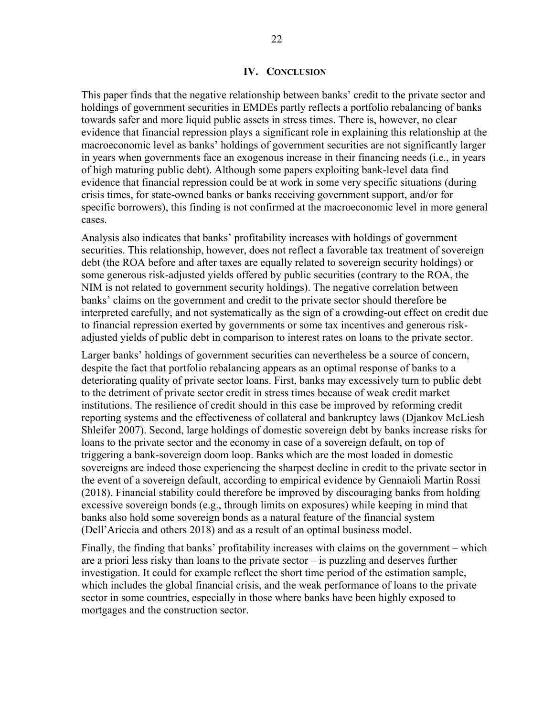This paper finds that the negative relationship between banks' credit to the private sector and holdings of government securities in EMDEs partly reflects a portfolio rebalancing of banks towards safer and more liquid public assets in stress times. There is, however, no clear evidence that financial repression plays a significant role in explaining this relationship at the macroeconomic level as banks' holdings of government securities are not significantly larger in years when governments face an exogenous increase in their financing needs (i.e., in years of high maturing public debt). Although some papers exploiting bank-level data find evidence that financial repression could be at work in some very specific situations (during crisis times, for state-owned banks or banks receiving government support, and/or for specific borrowers), this finding is not confirmed at the macroeconomic level in more general cases.

Analysis also indicates that banks' profitability increases with holdings of government securities. This relationship, however, does not reflect a favorable tax treatment of sovereign debt (the ROA before and after taxes are equally related to sovereign security holdings) or some generous risk-adjusted yields offered by public securities (contrary to the ROA, the NIM is not related to government security holdings). The negative correlation between banks' claims on the government and credit to the private sector should therefore be interpreted carefully, and not systematically as the sign of a crowding-out effect on credit due to financial repression exerted by governments or some tax incentives and generous riskadjusted yields of public debt in comparison to interest rates on loans to the private sector.

Larger banks' holdings of government securities can nevertheless be a source of concern, despite the fact that portfolio rebalancing appears as an optimal response of banks to a deteriorating quality of private sector loans. First, banks may excessively turn to public debt to the detriment of private sector credit in stress times because of weak credit market institutions. The resilience of credit should in this case be improved by reforming credit reporting systems and the effectiveness of collateral and bankruptcy laws (Djankov McLiesh Shleifer 2007). Second, large holdings of domestic sovereign debt by banks increase risks for loans to the private sector and the economy in case of a sovereign default, on top of triggering a bank-sovereign doom loop. Banks which are the most loaded in domestic sovereigns are indeed those experiencing the sharpest decline in credit to the private sector in the event of a sovereign default, according to empirical evidence by Gennaioli Martin Rossi (2018). Financial stability could therefore be improved by discouraging banks from holding excessive sovereign bonds (e.g., through limits on exposures) while keeping in mind that banks also hold some sovereign bonds as a natural feature of the financial system (Dell'Ariccia and others 2018) and as a result of an optimal business model.

Finally, the finding that banks' profitability increases with claims on the government – which are a priori less risky than loans to the private sector – is puzzling and deserves further investigation. It could for example reflect the short time period of the estimation sample, which includes the global financial crisis, and the weak performance of loans to the private sector in some countries, especially in those where banks have been highly exposed to mortgages and the construction sector.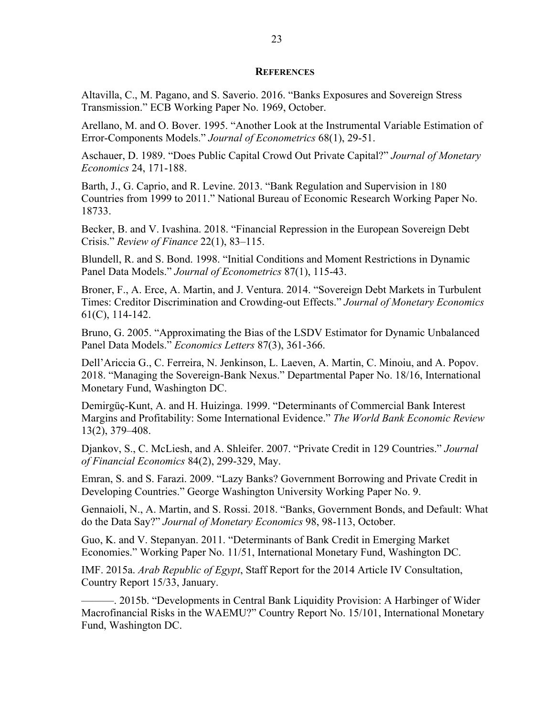#### **REFERENCES**

Altavilla, C., M. Pagano, and S. Saverio. 2016. "Banks Exposures and Sovereign Stress Transmission." ECB Working Paper No. 1969, October.

Arellano, M. and O. Bover. 1995. "Another Look at the Instrumental Variable Estimation of Error-Components Models." *Journal of Econometrics* 68(1), 29-51.

Aschauer, D. 1989. "Does Public Capital Crowd Out Private Capital?" *Journal of Monetary Economics* 24, 171-188.

Barth, J., G. Caprio, and R. Levine. 2013. "Bank Regulation and Supervision in 180 Countries from 1999 to 2011." National Bureau of Economic Research Working Paper No. 18733.

Becker, B. and V. Ivashina. 2018. "Financial Repression in the European Sovereign Debt Crisis." *Review of Finance* 22(1), 83–115.

Blundell, R. and S. Bond. 1998. "Initial Conditions and Moment Restrictions in Dynamic Panel Data Models." *Journal of Econometrics* 87(1), 115-43.

Broner, F., A. Erce, A. Martin, and J. Ventura. 2014. "Sovereign Debt Markets in Turbulent Times: Creditor Discrimination and Crowding-out Effects." *Journal of Monetary Economics* 61(C), 114-142.

Bruno, G. 2005. "Approximating the Bias of the LSDV Estimator for Dynamic Unbalanced Panel Data Models." *Economics Letters* 87(3), 361-366.

Dell'Ariccia G., C. Ferreira, N. Jenkinson, L. Laeven, A. Martin, C. Minoiu, and A. Popov. 2018. "Managing the Sovereign-Bank Nexus." Departmental Paper No. 18/16, International Monetary Fund, Washington DC.

Demirgüç-Kunt, A. and H. Huizinga. 1999. "Determinants of Commercial Bank Interest Margins and Profitability: Some International Evidence." *The World Bank Economic Review* 13(2), 379–408.

Djankov, S., C. McLiesh, and A. Shleifer. 2007. "Private Credit in 129 Countries." *Journal of Financial Economics* 84(2), 299-329, May.

Emran, S. and S. Farazi. 2009. "Lazy Banks? Government Borrowing and Private Credit in Developing Countries." George Washington University Working Paper No. 9.

Gennaioli, N., A. Martin, and S. Rossi. 2018. "Banks, Government Bonds, and Default: What do the Data Say?" *Journal of Monetary Economics* 98, 98-113, October.

Guo, K. and V. Stepanyan. 2011. "Determinants of Bank Credit in Emerging Market Economies." Working Paper No. 11/51, International Monetary Fund, Washington DC.

IMF. 2015a. *Arab Republic of Egypt*, Staff Report for the 2014 Article IV Consultation, Country Report 15/33, January.

———. 2015b. "Developments in Central Bank Liquidity Provision: A Harbinger of Wider Macrofinancial Risks in the WAEMU?" Country Report No. 15/101, International Monetary Fund, Washington DC.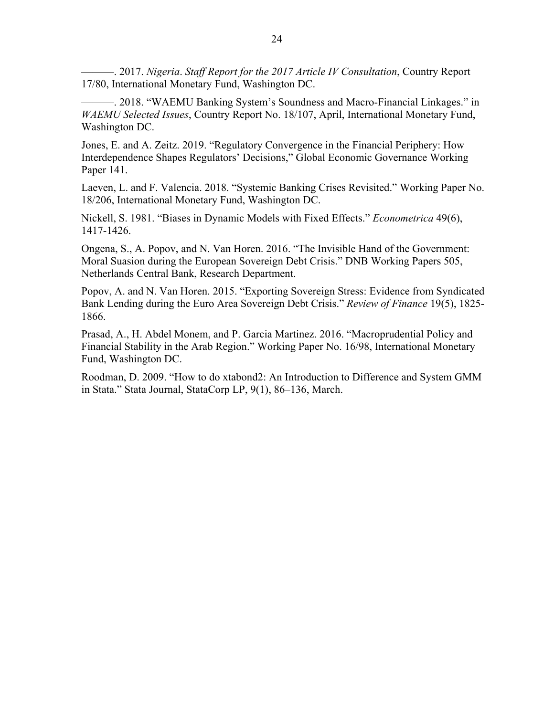———. 2017. *Nigeria*. *Staff Report for the 2017 Article IV Consultation*, Country Report 17/80, International Monetary Fund, Washington DC.

———. 2018. "WAEMU Banking System's Soundness and Macro-Financial Linkages." in *WAEMU Selected Issues*, Country Report No. 18/107, April, International Monetary Fund, Washington DC.

Jones, E. and A. Zeitz. 2019. "Regulatory Convergence in the Financial Periphery: How Interdependence Shapes Regulators' Decisions," Global Economic Governance Working Paper 141.

Laeven, L. and F. Valencia. 2018. "Systemic Banking Crises Revisited." Working Paper No. 18/206, International Monetary Fund, Washington DC.

Nickell, S. 1981. "Biases in Dynamic Models with Fixed Effects." *Econometrica* 49(6), 1417-1426.

Ongena, S., A. Popov, and N. Van Horen. 2016. "The Invisible Hand of the Government: Moral Suasion during the European Sovereign Debt Crisis." DNB Working Papers 505, Netherlands Central Bank, Research Department.

Popov, A. and N. Van Horen. 2015. "Exporting Sovereign Stress: Evidence from Syndicated Bank Lending during the Euro Area Sovereign Debt Crisis." *Review of Finance* 19(5), 1825- 1866.

Prasad, A., H. Abdel Monem, and P. Garcia Martinez. 2016. "Macroprudential Policy and Financial Stability in the Arab Region." Working Paper No. 16/98, International Monetary Fund, Washington DC.

Roodman, D. 2009. "How to do xtabond2: An Introduction to Difference and System GMM in Stata." Stata Journal, StataCorp LP, 9(1), 86–136, March.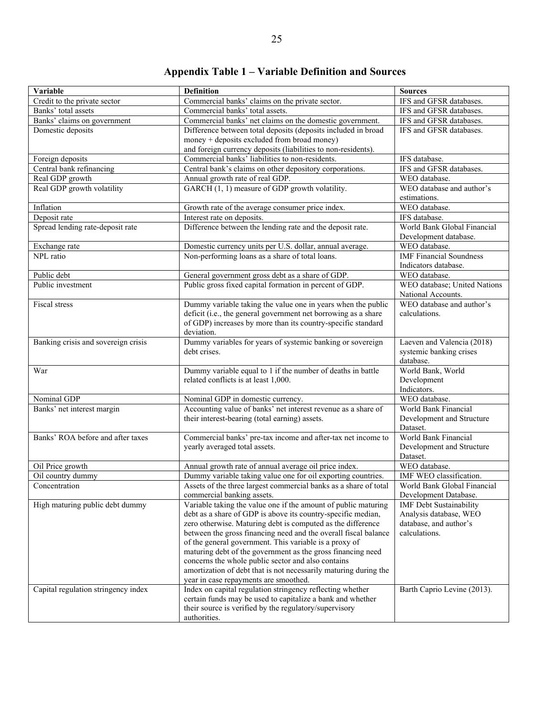| Variable                            | <b>Definition</b>                                                                             | <b>Sources</b>                            |
|-------------------------------------|-----------------------------------------------------------------------------------------------|-------------------------------------------|
| Credit to the private sector        | Commercial banks' claims on the private sector.                                               | IFS and GFSR databases.                   |
| Banks' total assets                 | Commercial banks' total assets.                                                               | IFS and GFSR databases.                   |
| Banks' claims on government         | Commercial banks' net claims on the domestic government.                                      | IFS and GFSR databases.                   |
| Domestic deposits                   | Difference between total deposits (deposits included in broad                                 | IFS and GFSR databases.                   |
|                                     | money + deposits excluded from broad money)                                                   |                                           |
|                                     | and foreign currency deposits (liabilities to non-residents).                                 |                                           |
| Foreign deposits                    | Commercial banks' liabilities to non-residents.                                               | IFS database.                             |
| Central bank refinancing            | Central bank's claims on other depository corporations.                                       | IFS and GFSR databases.                   |
| Real GDP growth                     | Annual growth rate of real GDP.                                                               | WEO database.                             |
| Real GDP growth volatility          | GARCH (1, 1) measure of GDP growth volatility.                                                | WEO database and author's<br>estimations. |
| Inflation                           | Growth rate of the average consumer price index.                                              | WEO database.                             |
| Deposit rate                        | Interest rate on deposits.                                                                    | IFS database.                             |
| Spread lending rate-deposit rate    | Difference between the lending rate and the deposit rate.                                     | World Bank Global Financial               |
|                                     |                                                                                               | Development database.                     |
| Exchange rate                       | Domestic currency units per U.S. dollar, annual average.                                      | WEO database.                             |
| NPL ratio                           | Non-performing loans as a share of total loans.                                               | <b>IMF Financial Soundness</b>            |
|                                     |                                                                                               | Indicators database.                      |
| Public debt                         | General government gross debt as a share of GDP.                                              | WEO database.                             |
| Public investment                   | Public gross fixed capital formation in percent of GDP.                                       | WEO database; United Nations              |
|                                     |                                                                                               | National Accounts.                        |
| <b>Fiscal</b> stress                | Dummy variable taking the value one in years when the public                                  | WEO database and author's                 |
|                                     | deficit (i.e., the general government net borrowing as a share                                | calculations.                             |
|                                     | of GDP) increases by more than its country-specific standard                                  |                                           |
|                                     | deviation.                                                                                    |                                           |
| Banking crisis and sovereign crisis | Dummy variables for years of systemic banking or sovereign                                    | Laeven and Valencia (2018)                |
|                                     | debt crises.                                                                                  | systemic banking crises                   |
|                                     |                                                                                               | database.                                 |
| War                                 | Dummy variable equal to 1 if the number of deaths in battle                                   | World Bank, World                         |
|                                     | related conflicts is at least 1,000.                                                          | Development                               |
|                                     |                                                                                               | Indicators.                               |
| Nominal GDP                         | Nominal GDP in domestic currency.                                                             | WEO database.                             |
| Banks' net interest margin          | Accounting value of banks' net interest revenue as a share of                                 | World Bank Financial                      |
|                                     | their interest-bearing (total earning) assets.                                                | Development and Structure                 |
| Banks' ROA before and after taxes   |                                                                                               | Dataset.<br>World Bank Financial          |
|                                     | Commercial banks' pre-tax income and after-tax net income to<br>yearly averaged total assets. |                                           |
|                                     |                                                                                               | Development and Structure<br>Dataset.     |
| Oil Price growth                    | Annual growth rate of annual average oil price index.                                         | WEO database.                             |
| Oil country dummy                   | Dummy variable taking value one for oil exporting countries.                                  | IMF WEO classification.                   |
| Concentration                       | Assets of the three largest commercial banks as a share of total                              | World Bank Global Financial               |
|                                     | commercial banking assets.                                                                    | Development Database.                     |
| High maturing public debt dummy     | Variable taking the value one if the amount of public maturing                                | <b>IMF</b> Debt Sustainability            |
|                                     | debt as a share of GDP is above its country-specific median,                                  | Analysis database, WEO                    |
|                                     | zero otherwise. Maturing debt is computed as the difference                                   | database, and author's                    |
|                                     | between the gross financing need and the overall fiscal balance                               | calculations.                             |
|                                     | of the general government. This variable is a proxy of                                        |                                           |
|                                     | maturing debt of the government as the gross financing need                                   |                                           |
|                                     | concerns the whole public sector and also contains                                            |                                           |
|                                     | amortization of debt that is not necessarily maturing during the                              |                                           |
|                                     | year in case repayments are smoothed.                                                         |                                           |
| Capital regulation stringency index | Index on capital regulation stringency reflecting whether                                     | Barth Caprio Levine (2013).               |
|                                     | certain funds may be used to capitalize a bank and whether                                    |                                           |
|                                     | their source is verified by the regulatory/supervisory                                        |                                           |
|                                     | authorities.                                                                                  |                                           |

**Appendix Table 1 – Variable Definition and Sources**